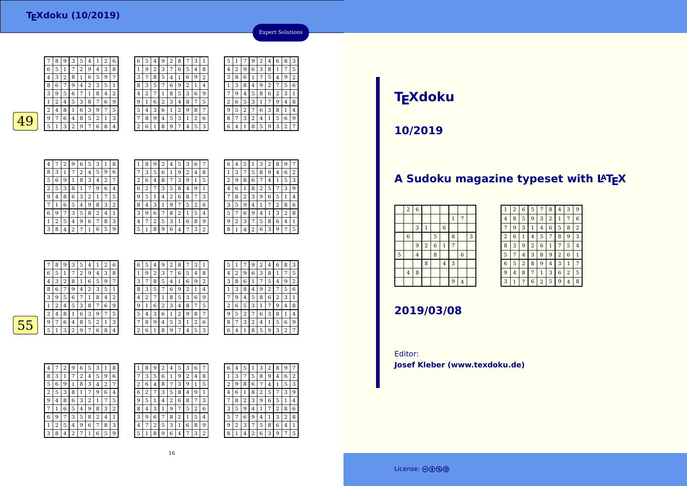7

6 $\frac{6}{1}$  5 1

4

6 $6 \mid 9 \mid 7$ 

 $\vert 1 \vert$ 

3 $3 \mid 8 \mid 4$ 

 <sup>3</sup> <sup>2</sup> <sup>8</sup> <sup>1</sup> <sup>6</sup> <sup>5</sup> <sup>9</sup> <sup>7</sup> 8 <sup>6</sup> <sup>7</sup> $\begin{array}{|c|c|c|c|c|c|}\n\hline\n9 & 4 & 2 & 3 & 5 & 1 \\
\hline\n6 & 7 & 1 & 8 & 4 & 2\n\end{array}$ 3 $\begin{array}{c|c} 6 & 7 \\ \hline 5 & 3 \end{array}$  $\sqrt{4}$  2 1 $7 | 6 | 9$  $2|4$ 8 1 6 3 9 7 5  $\frac{9}{2}$  7  $49$   $51329764$ 3 2 9 7 6 8 4 4 $\boxed{2\ 6\ 1}$ 4 <sup>7</sup> <sup>2</sup> <sup>9</sup> <sup>6</sup> <sup>5</sup> <sup>3</sup> <sup>1</sup> <sup>8</sup> <sup>3</sup> <sup>1</sup> <sup>7</sup> <sup>2</sup> <sup>4</sup> <sup>5</sup> <sup>9</sup> <sup>6</sup> 5 $\frac{5}{6}$  | 9 | 1 <sup>8</sup> <sup>3</sup> <sup>4</sup> <sup>2</sup> <sup>7</sup>  $\overline{2}$  <sup>5</sup> <sup>3</sup> <sup>8</sup> <sup>1</sup> <sup>7</sup> <sup>9</sup> <sup>6</sup> <sup>4</sup> 9 $\frac{9}{4}$  <sup>8</sup> <sup>6</sup> <sup>3</sup> <sup>2</sup> <sup>1</sup> <sup>7</sup> <sup>5</sup> 7<sup>1</sup> <sup>6</sup> <sup>5</sup> <sup>4</sup> <sup>9</sup> <sup>8</sup> <sup>3</sup> <sup>2</sup>

<sup>3</sup> <sup>5</sup> <sup>8</sup> <sup>2</sup> <sup>4</sup> <sup>1</sup>

 $271659$ 

<sup>2</sup> <sup>5</sup> <sup>4</sup> <sup>9</sup> <sup>6</sup> <sup>7</sup> <sup>8</sup> <sup>3</sup>

 $\begin{array}{|c|c|c|c|}\n 1 & 2 & 6 \\
 \hline\n 4 & 3 & 8\n \end{array}$ 

 $\begin{array}{c|c} 3 & 8 \\ 9 & 7 \end{array}$ 

6 $\frac{6}{1}$   $\frac{5}{1}$   $\frac{4}{1}$ 

 $\overline{1}$ 

 $\frac{3}{7}$ 

 $\frac{9}{1}$ 

 $rac{5}{4}$ 

 $\frac{8}{3}$   $\frac{3}{5}$   $\frac{7}{7}$ 

| ı | 8 | 9 | 2            | 4 | 5 | 3 | 6              |   |
|---|---|---|--------------|---|---|---|----------------|---|
|   | 3 | 5 | 6            | 1 | 9 | 2 | 4              | 8 |
| 2 | 6 | 4 | 8            | 7 | 3 | 9 | 1              | 5 |
| 6 | 2 |   | 3            | 5 | 8 | 4 | g              | 1 |
| 9 | 5 | 1 | 4            | 2 | 6 | 8 |                | 3 |
| 8 | 4 | 3 | $\mathbf{1}$ | 9 | 7 | 5 | $\overline{2}$ | 6 |
| 3 | 9 | 6 | 7            | 8 | 2 | 1 | 5              | 4 |
| 4 | 7 | 2 | 5            | 3 | 1 | 6 | 8              | 9 |
| 5 |   | 8 | 9            | 6 | 4 | 7 | 3              | 2 |

| 6 | 4 | 5 | 1              | 3              | 2 | 8              | 9 | 7            |
|---|---|---|----------------|----------------|---|----------------|---|--------------|
| 1 | 3 | 7 | 5              | 8              | 9 | 4              | 6 | 2            |
| 2 | 9 | 8 | 6              | 7              | 4 | 1              | 5 | 3            |
| 4 | 6 | 1 | 8              | $\overline{2}$ | 5 | 7              | 3 | 9            |
| 7 | 8 | 2 | 3              | 9              | 6 | 5              | 1 | 4            |
| 3 | 5 | 9 | 4              | $\mathbf{1}$   | 7 | $\overline{c}$ | 8 | 6            |
| 5 | 7 | 6 | 9              | 4              | 1 | 3              | 2 | 8            |
| 9 | 2 | 3 | 7              | 5              | 8 | 6              | 4 | $\mathbf{1}$ |
| 8 | 1 | 4 | $\overline{2}$ | 6              | 3 | 9              | 7 | 5            |
|   |   |   |                |                |   |                |   |              |

Expert Solutions

 <sup>7</sup> <sup>9</sup> <sup>2</sup> <sup>4</sup> <sup>6</sup> <sup>8</sup> <sup>3</sup> <sup>2</sup> <sup>9</sup> <sup>6</sup> <sup>3</sup> <sup>8</sup> <sup>1</sup> <sup>7</sup> <sup>5</sup>

 <sup>7</sup> <sup>5</sup> <sup>4</sup> <sup>9</sup> <sup>2</sup>  $\begin{array}{|c|c|c|c|c|c|c|c|}\n\hline\n3 & 8 & 4 & 9 & 2 & 7 & 5 \\
\hline\n9 & 4 & 5 & 8 & 6 & 2 & 3\n\end{array}$ 

 $\begin{array}{|c|c|c|c|c|}\n\hline\n 3 & 1 & 7 & 9 & 4\n\end{array}$ 

<sup>6</sup> <sup>5</sup> <sup>3</sup> <sup>1</sup> <sup>7</sup> <sup>9</sup> <sup>4</sup> <sup>8</sup>

 <sup>7</sup> <sup>6</sup> <sup>3</sup> <sup>8</sup> <sup>1</sup> <sup>4</sup> 8 <sup>7</sup> <sup>3</sup> <sup>2</sup> <sup>4</sup> <sup>1</sup> <sup>5</sup> <sup>6</sup> <sup>9</sup>  $6$  | 4 | 1 | 8 | 5 | 9 | 3 | 2 | 7

|   | 8 | 9 | 3 | 5 | 4 |   | 2 | 6 | 6              | 5 | 4 |
|---|---|---|---|---|---|---|---|---|----------------|---|---|
| 6 | 5 |   | 7 | 2 | 9 | 4 | 3 | 8 | 1              | 9 | 2 |
| 4 | 3 | 2 | 8 | 1 | 6 | 5 | 9 | 7 | 3              | 7 | 8 |
| 8 | 6 | 7 | 9 | 4 | 2 | 3 | 5 | 1 | 8              | 3 | 5 |
| 3 | 9 | 5 | 6 | 7 | 1 | 8 | 4 | 2 | 4              | 2 | 7 |
| 1 | 2 | 4 | 5 | 3 | 8 |   | 6 | 9 | 9              | 1 | 6 |
| 2 | 4 | 8 |   | 6 | 3 | 9 | 7 | 5 | 5              | 4 | 3 |
| 9 | 7 | 6 | 4 | 8 | 5 | 2 | 1 | 3 | 7              | 8 | g |
| 5 | 1 | 3 | 2 | 9 | 7 | 6 | 8 | 4 | $\overline{2}$ | 6 | 1 |
|   |   |   |   |   |   |   |   |   |                |   |   |

| 6            | 5 | 4              | 9 | 2 | 8 |   | 3 |   | 5              |   |        | 9      | 2 | 4              | 6 | 8 | 3              |
|--------------|---|----------------|---|---|---|---|---|---|----------------|---|--------|--------|---|----------------|---|---|----------------|
| $\mathbf{1}$ | 9 | $\overline{2}$ | 3 | 7 | 6 | 5 | 4 | 8 | $\overline{4}$ | 2 | 9      | 6      | 3 | 8              | 1 | 7 | 5              |
| 3            | 7 | 8              | 5 | 4 | ┸ | 6 | 9 | 2 | 3              | 8 | 6      |        | 7 | 5              | 4 | 9 | $\overline{2}$ |
| 8            | 3 | 5              |   | 6 | 9 | 2 | 1 | 4 |                | 3 | 8      | 4      | 9 | $\overline{2}$ |   | 5 | 6              |
| 4            | 2 |                |   | 8 | 5 | 3 | 6 | 9 | 7              | 9 | 4      | 5      | 8 | 6              | 2 | 3 | 1              |
| 9            | 1 | 6              | 2 | 3 | 4 | 8 | 7 | 5 | 2              | 6 | 5      | 3      | 1 | 7              | 9 | 4 | 8              |
| 5            | 4 | 3              | 6 | 1 | 2 | 9 | 8 | 7 | 9              | 5 | ∍<br>∠ |        | 6 | 3              | 8 | 1 | 4              |
| 7            | 8 | 9              | 4 | 5 | 3 | 1 | 2 | 6 | 8              | 7 | 3      | ∍<br>∠ | 4 | 1              | 5 | 6 | g              |
| 2            | 6 | 1              | 8 | 9 | 7 | 4 | 5 | 3 | 6              | 4 |        | 8      | 5 | 9              | 3 | 2 | 7              |
|              |   |                |   |   |   |   |   |   |                |   |        |        |   |                |   |   |                |

 $|3|1$ 

 $\boxed{4}$  8

 $\frac{5}{4}$  $\frac{1}{2}$ 

 $\sqrt{3}$  $\frac{3}{1}$  8 6 1<br>1 3 8 4

 $\overline{7}$ 

 $\sqrt{2}$  6

 $9 \mid 5 \mid 2$ 

<sup>8</sup> <sup>5</sup> <sup>4</sup> <sup>1</sup> <sup>6</sup> <sup>9</sup> <sup>2</sup>

<sup>2</sup> <sup>7</sup> <sup>1</sup> <sup>8</sup> <sup>5</sup> <sup>3</sup> <sup>6</sup> <sup>9</sup>

7 <sup>8</sup> <sup>9</sup> <sup>4</sup> <sup>5</sup> <sup>3</sup> <sup>1</sup> <sup>2</sup> <sup>6</sup>

 $\begin{array}{|c|c|c|c|c|c|c|c|}\n\hline\n6 & 9 & 2 & 1 & 4 \\
\hline\n8 & 5 & 3 & 6 & 9\n\end{array}$ 

1 2 9 8 7

 $\begin{array}{|c|c|c|c|c|c|c|c|}\n\hline\n2 & 3 & 4 & 8 & 7 & 5 \\
\hline\n6 & 1 & 2 & 9 & 8 & 7\n\end{array}$ 

8 9 7 4 5 3

| 5 |
|---|
|   |
|   |
|   |

| 4              |   | 2 | 9 | 6 | 5 | 3 | 1              | 8 |  |
|----------------|---|---|---|---|---|---|----------------|---|--|
| 8              | 3 | 1 | 7 | 2 | 4 | 5 | 9              | 6 |  |
| 5              | 6 | 9 | 1 | 8 | 3 | 4 | $\overline{2}$ | 7 |  |
| $\overline{2}$ | 5 | 3 | 8 | 1 | 7 | 9 | 6              | 4 |  |
| 9              | 4 | 8 | 6 | 3 | 2 | 1 | 7              | 5 |  |
|                | 1 | 6 | 5 | 4 | 9 | 8 | 3              | 2 |  |
| 6              | 9 | 7 | 3 | 5 | 8 | 2 | 4              | 1 |  |
| 1              | 2 | 5 | 4 | 9 | 6 | 7 | 8              | 3 |  |
| 3              | 8 | 4 | 2 | 7 | 1 | 6 | 5              | 9 |  |

| 1 | 8              | 9              | 2 | 4 | 5 | 3 | 6 |   | 6              | 4 | 5              | ı | 3              | 2 | 8 | 9              |                |
|---|----------------|----------------|---|---|---|---|---|---|----------------|---|----------------|---|----------------|---|---|----------------|----------------|
| 7 | 3              | 5              | 6 | 1 | 9 | 2 | 4 | 8 | 1              | 3 | 7              | 5 | 8              | 9 | 4 | 6              | $\overline{2}$ |
| 2 | 6              | 4              | 8 | 7 | 3 | 9 |   | 5 | $\overline{2}$ | 9 | 8              | 6 | 7              | 4 | 1 | 5              | 3              |
| 6 | $\overline{2}$ |                | 3 | 5 | 8 | 4 | 9 |   | 4              | 6 |                | 8 | $\overline{2}$ | 5 |   | 3              | 9              |
| 9 | 5              | 1              | 4 | 2 | 6 | 8 | 7 | 3 | 7              | 8 | $\overline{2}$ | 3 | 9              | 6 | 5 | 1              | 4              |
| 8 | 4              | 3              | 1 | 9 | 7 | 5 | 2 | 6 | 3              | 5 | 9              | 4 | 1              | 7 | 2 | 8              | 6              |
| 3 | 9              | 6              |   | 8 | 2 | 1 | 5 | 4 | 5              | ⇁ | 6              | 9 | 4              | 1 | 3 | $\overline{2}$ | 8              |
| 4 | 7              | $\overline{2}$ | 5 | 3 | 1 | 6 | 8 | 9 | 9              | 2 | 3              | 7 | 5              | 8 | 6 | 4              | 1              |
| 5 |                | 8              | 9 | 6 | 4 |   | 3 | 2 | 8              |   | 4              | 2 | 6              | 3 | 9 | 7              | 5              |

# **TEXdoku**

**10/2019**

### A Sudoku magazine typeset with LATEX

| $\sqrt{2}$ | $\boldsymbol{6}$ |                |                |                |                |                |   |
|------------|------------------|----------------|----------------|----------------|----------------|----------------|---|
|            |                  |                |                |                | $\mathbf{1}$   | $\overline{7}$ |   |
|            | 3                | $\mathbf{1}$   |                | $\,$ 6 $\,$    |                |                |   |
| 6          |                  |                | 5              |                | 8              |                | 3 |
|            | 9                | $\overline{2}$ | $\overline{6}$ | $\,1\,$        | $\overline{7}$ |                |   |
|            | $\overline{4}$   |                | 8              |                |                | $\overline{6}$ |   |
|            |                  | 8              |                | $\overline{4}$ | 3              |                |   |
| $\bf{4}$   | 8                |                |                |                |                |                |   |
|            |                  |                |                |                | 9              | $\overline{4}$ |   |
|            |                  |                |                |                |                |                |   |

|                | $\overline{2}$ | 6              | 5              | 7              | 8              | 4              | 3              | 9 |
|----------------|----------------|----------------|----------------|----------------|----------------|----------------|----------------|---|
| 4              | 8              | 5              | 9              | 3              | $\overline{2}$ |                | 7              | 6 |
| 7              | 9              | 3              | 1              | 4              | 6              | 5              | 8              | 2 |
| $\overline{2}$ | 6              | 1              | 4              | 5              | 7              | 8              | 9              | 3 |
| 8              | 3              | 9              | $\overline{2}$ | 6              | 1              | 7              | 5              | 4 |
| 5              | 7              | 4              | 3              | 8              | 9              | $\overline{2}$ | 6              | 1 |
| 6              | 5              | $\overline{2}$ | 8              | 9              | 4              | 3              | 1              | 7 |
| 9              | 4              | 8              | 7              | 1              | 3              | 6              | $\overline{2}$ | 5 |
| 3              | 1              |                | 6              | $\overline{2}$ | 5              | 9              | 4              | 8 |

### **2019/03/08**

Editor:**Josef Kleber (www.texdoku.de)**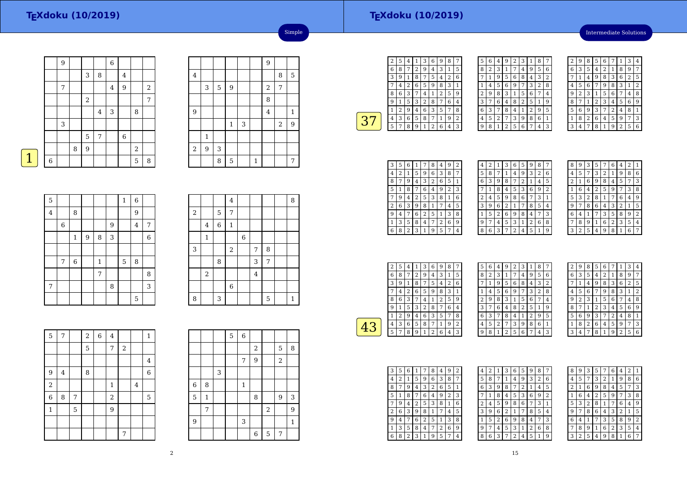Intermediate Solutions

|             |   | 9 |   |                |         | $\overline{6}$ |             |                |            |
|-------------|---|---|---|----------------|---------|----------------|-------------|----------------|------------|
|             |   |   |   | 3              | 8       |                | 4           |                |            |
|             |   | 7 |   |                |         | $\overline{4}$ | 9           |                | $\sqrt{2}$ |
|             |   |   |   | $\overline{2}$ |         |                |             |                | 7          |
|             |   |   |   |                | $\bf 4$ | 3              |             | 8              |            |
|             |   | 3 |   |                |         |                |             |                |            |
|             |   |   |   | 5              | 7       |                | $\,$ 6 $\,$ |                |            |
|             |   |   | 8 | 9              |         |                |             | $\overline{2}$ |            |
| $\mathbf 1$ | 6 |   |   |                |         |                |             | 5              | $\, 8$     |
|             |   |   |   |                |         |                |             |                |            |

|                |              |   |                |   |              | $\overline{9}$   |   |              |
|----------------|--------------|---|----------------|---|--------------|------------------|---|--------------|
| $\overline{4}$ |              |   |                |   |              |                  | 8 | 5            |
|                | 3            | 5 | $\overline{9}$ |   |              | $\boldsymbol{2}$ | 7 |              |
|                |              |   |                |   |              | 8                |   |              |
| 9              |              |   |                |   |              | 4                |   | $\mathbf{1}$ |
|                |              |   | $\mathbf{1}$   | 3 |              |                  | 2 | 9            |
|                | $\mathbf{1}$ |   |                |   |              |                  |   |              |
| $\,2$          | 9            | 3 |                |   |              |                  |   |              |
|                |              | 8 | 5              |   | $\mathbf{1}$ |                  |   | 7            |

Simple

| 5       |             |             |   |              |   | $\mathbf{1}$ | 6              |   |
|---------|-------------|-------------|---|--------------|---|--------------|----------------|---|
| $\bf 4$ |             | 8           |   |              |   |              | 9              |   |
|         | $\,$ 6 $\,$ |             |   |              | 9 |              | $\overline{4}$ | 7 |
|         |             | $\mathbf 1$ | 9 | 8            | 3 |              |                | 6 |
|         |             |             |   |              |   |              |                |   |
|         | 7           | 6           |   | $\mathbf{1}$ |   | 5            | 8              |   |
|         |             |             |   | 7            |   |              |                | 8 |
| 7       |             |             |   |              | 8 |              |                | 3 |
|         |             |             |   |              |   |              | 5              |   |

|            |              |                | $\bf 4$        |   |                |   | 8            |
|------------|--------------|----------------|----------------|---|----------------|---|--------------|
| $\sqrt{2}$ |              | 5              | 7              |   |                |   |              |
|            | $\bf 4$      | $\overline{6}$ | $\,1\,$        |   |                |   |              |
|            | $\mathbf{1}$ |                |                | 6 |                |   |              |
| 3          |              |                | $\sqrt{2}$     |   | $\overline{7}$ | 8 |              |
|            |              | $\, 8$         |                |   | 3              | 7 |              |
|            | $\,2$        |                |                |   | $\overline{4}$ |   |              |
|            |              |                | $\overline{6}$ |   |                |   |              |
| 8          |              | 3              |                |   |                | 5 | $\mathbf{1}$ |

| $\overline{5}$ | $\overline{7}$ |   | $\overline{\mathbf{c}}$ | 6 | $\overline{4}$          |   |                | $\mathbf{1}$ |
|----------------|----------------|---|-------------------------|---|-------------------------|---|----------------|--------------|
|                |                |   | 5                       |   | 7                       | 2 |                |              |
|                |                |   |                         |   |                         |   |                | 4            |
| 9              | $\overline{4}$ |   | 8                       |   |                         |   |                | 6            |
| $\overline{2}$ |                |   |                         |   | $\mathbf 1$             |   | $\overline{4}$ |              |
| $\overline{6}$ | 8              | 7 |                         |   | $\overline{\mathbf{c}}$ |   |                | 5            |
| $\mathbf 1$    |                | 5 |                         |   | 9                       |   |                |              |
|                |                |   |                         |   |                         |   |                |              |
|                |                |   |                         |   |                         | 7 |                |              |

|                |              |   | 5 | 6            |                |                |                  |                |
|----------------|--------------|---|---|--------------|----------------|----------------|------------------|----------------|
|                |              |   |   |              | $\overline{2}$ |                | 5                | 8              |
|                |              |   |   | 7            | 9              |                | $\boldsymbol{2}$ |                |
|                |              | 3 |   |              |                |                |                  |                |
| $\,$ 6 $\,$    | 8            |   |   | $\mathbf{1}$ |                |                |                  |                |
| 5              | $\mathbf{1}$ |   |   |              | 8              |                | 9                | 3              |
|                | 7            |   |   |              |                | $\overline{a}$ |                  | $\overline{9}$ |
| $\overline{9}$ |              |   |   | 3            |                |                |                  | $\mathbf{1}$   |
|                |              |   |   |              | 6              | 5              | 7                |                |

| 2 | 5 | 4 |   | 3 | 6 | g | 8              |   |
|---|---|---|---|---|---|---|----------------|---|
| 6 | 8 | 7 | 2 | 9 | 4 | 3 | 1              | 5 |
| 3 | 9 |   | 8 | 7 | 5 | 4 | $\overline{2}$ | 6 |
|   | 4 | 2 | 6 | 5 | 9 | 8 | 3              | 1 |
| 8 | 6 | 3 | 7 | 4 | 1 | 2 | 5              | 9 |
| 9 | 1 | 5 | 3 | 2 | 8 | 7 | 6              | 4 |
|   | 2 | 9 | 4 | 6 | 3 | 5 |                | 8 |
| 4 | 3 | 6 | 5 | 8 | 7 | 1 | 9              | 2 |
| 5 | 7 | 8 | 9 | 1 | 2 | 6 | 4              | 3 |
|   |   |   |   |   |   |   |                |   |

| 5 | 6 | 4 | 9              | 2 | 3              | 1              | 8 | 7            |
|---|---|---|----------------|---|----------------|----------------|---|--------------|
| 8 | 2 | 3 | 1              | 7 | 4              | 9              | 5 | 6            |
| 7 | 1 | 9 | 5              | 6 | 8              | 4              | 3 | 2            |
| 1 | 4 | 5 | 6              | 9 | 7              | 3              | 2 | 8            |
| 2 | 9 | 8 | 3              | 1 | 5              | 6              | 7 | 4            |
| 3 | 7 | 6 | 4              | 8 | $\overline{2}$ | 5              | 1 | 9            |
| 6 | 3 | 7 | 8              | 4 | 1              | $\overline{2}$ | 9 | 5            |
| 4 | 5 | 2 | 7              | 3 | 9              | 8              | 6 | $\mathbf{1}$ |
| 9 | 8 | 1 | $\overline{2}$ | 5 | 6              | 7              | 4 | 3            |

| 2 | 9 | 8 | 5              | 6 |   | 1              | 3                       | 4 |
|---|---|---|----------------|---|---|----------------|-------------------------|---|
| 6 | 3 | 5 | 4              | 2 | 1 | 8              | 9                       | 7 |
|   | 1 | 4 | 9              | 8 | 3 | 6              | $\overline{\mathbf{c}}$ | 5 |
| 4 | 5 | 6 | 7              | 9 | 8 | 3              | 1                       | 2 |
| 9 | 2 | 3 | 1              | 5 | 6 | 7              | 4                       | 8 |
| 8 |   | 1 | $\overline{2}$ | 3 | 4 | 5              | 6                       | 9 |
| 5 | 6 | 9 | 3              | 7 | 2 | 4              | 8                       | 1 |
| 1 | 8 | 2 | 6              | 4 | 5 | 9              | 7                       | 3 |
| 3 | 4 | 7 | 8              | 1 | 9 | $\overline{2}$ | 5                       | 6 |

| З | 5 | 6              | 1 |   | 8              | 4 | 9            | 2 |
|---|---|----------------|---|---|----------------|---|--------------|---|
| 4 | 2 | 1              | 5 | 9 | 6              | 3 | 8            | 7 |
| 8 | 7 | 9              | 4 | 3 | $\overline{c}$ | 6 | 5            | 1 |
| 5 | 1 | 8              | 7 | 6 | 4              | 9 | 2            | 3 |
|   | 9 | 4              | 2 | 5 | 3              | 8 | $\mathbf{1}$ | 6 |
| 2 | 6 | 3              | 9 | 8 | 1              |   | 4            | 5 |
| 9 | 4 |                | 6 | 2 | 5              | 1 | 3            | 8 |
| 1 | 3 | 5              | 8 | 4 | 7              | 2 | 6            | 9 |
| 6 | 8 | $\overline{2}$ | 3 | 1 | 9              | 5 | 7            | 4 |

| 4 | 2 | 1 | З | 6 | 5              | 9 | 8            | 7              |
|---|---|---|---|---|----------------|---|--------------|----------------|
| 5 | 8 | 7 | 1 | 4 | 9              | 3 | 2            | 6              |
| 6 | 3 | 9 | 8 | 7 | $\overline{c}$ | 1 | 4            | 5              |
|   | 1 | 8 | 4 | 5 | 3              | 6 | 9            | $\overline{2}$ |
| 2 | 4 | 5 | 9 | 8 | 6              | 7 | 3            | $\mathbf{1}$   |
| 3 | 9 | 6 | 2 | 1 | 7              | 8 | 5            | 4              |
|   | 5 | 2 | 6 | 9 | 8              | 4 | 7            | 3              |
| 9 | 7 | 4 | 5 | 3 | 1              | 2 | 6            | 8              |
| 8 | 6 | 3 | 7 | 2 | 4              | 5 | $\mathbf{1}$ | g              |
|   |   |   |   |   |                |   |              |                |

| 8 | 9 | 3 | 5 |   | 6 | 4 | $\overline{2}$ | 1 |
|---|---|---|---|---|---|---|----------------|---|
| 4 | 5 |   | 3 | 2 | 1 | 9 | 8              | 6 |
| 2 | 1 | 6 | 9 | 8 | 4 | 5 | 7              | 3 |
|   | 6 | 4 | 2 | 5 | 9 | 7 | 3              | 8 |
| 5 | 3 | 2 | 8 | 1 |   | 6 | 4              | 9 |
| 9 | 7 | 8 | 6 | 4 | 3 | 2 | 1              | 5 |
| 6 | 4 | 1 | 7 | 3 | 5 | 8 | 9              | 2 |
| 7 | 8 | 9 | 1 | 6 | 2 | 3 | 5              | 4 |
| 3 | 2 | 5 | 4 | 9 | 8 | 1 | 6              |   |

| 2 | 5 | 4 |   | З | 6 | 9 | 8 |   |
|---|---|---|---|---|---|---|---|---|
| 6 | 8 | 7 | 2 | 9 | 4 | 3 | 1 | 5 |
| 3 | 9 | 1 | 8 | 7 | 5 | 4 | 2 | 6 |
|   | 4 | 2 | 6 | 5 | 9 | 8 | 3 | 1 |
| 8 | 6 | 3 | 7 | 4 | 1 | 2 | 5 | 9 |
| g | 1 | 5 | 3 | 2 | 8 | 7 | 6 | 4 |
| 1 | 2 | 9 | 4 | 6 | 3 | 5 | 7 | 8 |
| 4 | 3 | 6 | 5 | 8 | 7 | 1 | 9 | 2 |
| 5 | 7 | 8 | 9 | 1 | 2 | 6 | 4 | 3 |

| 5 | 6 | 4 | 9 | 2 | 3 | 1              | 8 | 7 |  |
|---|---|---|---|---|---|----------------|---|---|--|
| 8 | 2 | 3 | 1 | 7 | 4 | 9              | 5 | 6 |  |
|   | 1 | 9 | 5 | 6 | 8 | 4              | 3 | 2 |  |
| 1 | 4 | 5 | 6 | 9 | 7 | 3              | 2 | 8 |  |
| 2 | 9 | 8 | 3 | 1 | 5 | 6              | 7 | 4 |  |
| 3 |   | 6 | 4 | 8 | 2 | 5              | 1 | 9 |  |
| 6 | 3 | 7 | 8 | 4 | 1 | $\overline{2}$ | 9 | 5 |  |
| 4 | 5 | 2 | 7 | 3 | 9 | 8              | 6 | 1 |  |
| g | 8 | 1 | 2 | 5 | 6 | 7              | 4 | 3 |  |

| 2 | 9 | 8 | 5              | 6              |                | 1              | 3              | 4 |
|---|---|---|----------------|----------------|----------------|----------------|----------------|---|
| 6 | 3 | 5 | 4              | $\overline{2}$ | 1              | 8              | 9              | 7 |
| 7 | 1 | 4 | 9              | 8              | 3              | 6              | $\overline{2}$ | 5 |
| 4 | 5 | 6 | 7              | 9              | 8              | 3              | 1              | 2 |
| 9 | 2 | 3 | 1              | 5              | 6              | 7              | 4              | 8 |
| 8 |   | 1 | $\overline{c}$ | 3              | 4              | 5              | 6              | 9 |
| 5 | 6 | 9 | 3              | 7              | $\overline{2}$ | 4              | 8              | 1 |
| 1 | 8 | 2 | 6              | 4              | 5              | 9              | 7              | 3 |
| 3 | 4 | 7 | 8              | 1              | g              | $\overline{2}$ | 5              | 6 |

| 3 | 5 | 6              | 1 | 7 | 8 | 4 | 9 | $\overline{2}$ |
|---|---|----------------|---|---|---|---|---|----------------|
| 4 | 2 | 1              | 5 | 9 | 6 | 3 | 8 | 7              |
| 8 |   | 9              | 4 | 3 | 2 | 6 | 5 | 1              |
| 5 |   | 8              | 7 | 6 | 4 | 9 | 2 | 3              |
|   | 9 | 4              | 2 | 5 | 3 | 8 | 1 | 6              |
| 2 | 6 | 3              | 9 | 8 | 1 | 7 | 4 | 5              |
| 9 | 4 |                | 6 | 2 | 5 |   | 3 | 8              |
| 1 | 3 | 5              | 8 | 4 | 7 | 2 | 6 | 9              |
| 6 | 8 | $\overline{2}$ | 3 | 1 | 9 | 5 | 7 | 4              |

| 4 | $\overline{2}$ | 1 | 3 | 6              | 5 | 9              | 8 |                |
|---|----------------|---|---|----------------|---|----------------|---|----------------|
| 5 | 8              | 7 | 1 | 4              | 9 | 3              | 2 | 6              |
| 6 | 3              | 9 | 8 | 7              | 2 | 1              | 4 | 5              |
| 7 | 1              | 8 | 4 | 5              | 3 | 6              | 9 | $\overline{2}$ |
| 2 | 4              | 5 | 9 | 8              | 6 | 7              | 3 | 1              |
| 3 | 9              | 6 | 2 | 1              | 7 | 8              | 5 | 4              |
| 1 | 5              | 2 | 6 | 9              | 8 | 4              | 7 | 3              |
| 9 | 7              | 4 | 5 | 3              | 1 | $\overline{2}$ | 6 | 8              |
| 8 | 6              | 3 | 7 | $\overline{2}$ | 4 | 5              | 1 | 9              |

| 8 |                |   |                |   |   |                         |                |   |
|---|----------------|---|----------------|---|---|-------------------------|----------------|---|
|   | 9              | 3 | 5              |   | 6 | 4                       | $\overline{2}$ | 1 |
| 4 | 5              | 7 | 3              | 2 | 1 | 9                       | 8              | 6 |
| 2 | 1              | 6 | 9              | 8 | 4 | 5                       | 7              | 3 |
| 1 | 6              | 4 | $\overline{2}$ | 5 | 9 | 7                       | 3              | 8 |
| 5 | 3              | 2 | 8              | 1 | 7 | 6                       | 4              | 9 |
| 9 | 7              | 8 | 6              | 4 | 3 | $\overline{\mathbf{c}}$ | 1              | 5 |
| 6 | 4              | 1 | 7              | 3 | 5 | 8                       | 9              | 2 |
| 7 | 8              | 9 | 1              | 6 | 2 | 3                       | 5              | 4 |
| 3 | $\overline{c}$ | 5 | 4              | 9 | 8 | 1                       | 6              | 7 |
|   |                |   |                |   |   |                         |                |   |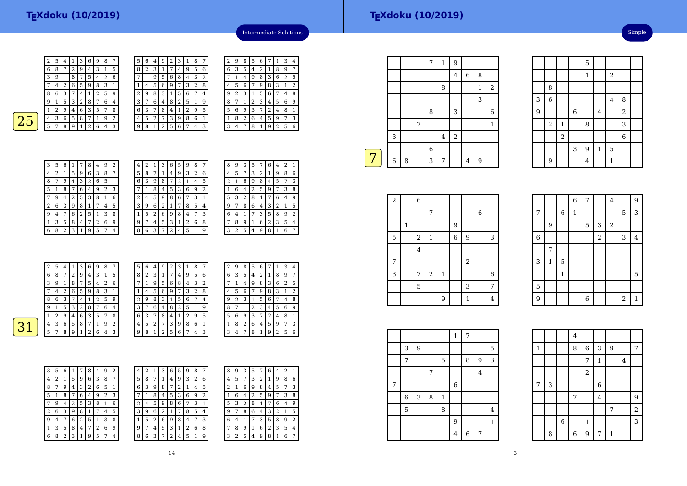| 5 | 6 | 4 | g              | 2 | 3 |                | 8              |   |
|---|---|---|----------------|---|---|----------------|----------------|---|
| 8 | 2 | 3 | 1              | 7 | 4 | 9              | 5              | 6 |
|   | 1 | 9 | 5              | 6 | 8 | 4              | 3              | 2 |
|   | 4 | 5 | 6              | 9 | 7 | 3              | $\overline{2}$ | 8 |
| 2 | 9 | 8 | 3              | 1 | 5 | 6              | 7              | 4 |
| 3 | 7 | 6 | 4              | 8 | 2 | 5              | 1              | 9 |
| 6 | 3 |   | 8              | 4 | 1 | $\overline{2}$ | 9              | 5 |
| 4 | 5 | 2 |                | 3 | 9 | 8              | 6              | 1 |
| q | 8 | 1 | $\overline{2}$ | 5 | 6 |                | 4              | 3 |



| 4 | 9                  | 2 | З | 1 | 8 |   | 2 | 9 | 8 | 5 | 6 |   |   | 3 | 4 |
|---|--------------------|---|---|---|---|---|---|---|---|---|---|---|---|---|---|
| 3 |                    |   | 4 | 9 | 5 | 6 | 6 | 3 | 5 | 4 | 2 | 1 | 8 | 9 |   |
| 9 | 5                  | 6 | 8 | 4 | 3 | 2 |   |   | 4 | 9 | 8 | 3 | 6 | 2 | 5 |
| 5 | 6                  | g |   | 3 | 2 | 8 | 4 | 5 | 6 |   | 9 | 8 | З | 1 | 2 |
| 8 | 3                  |   | 5 | 6 | 7 | 4 | 9 | 2 | 3 | 1 | 5 | 6 | 7 | 4 | 8 |
| 6 | 4                  | 8 | 2 | 5 | 1 | 9 | 8 |   |   | 2 | 3 | 4 | 5 | 6 | 9 |
| 7 | 8                  | 4 |   | 2 | 9 | 5 | 5 | 6 | 9 | 3 | 7 | 2 | 4 | 8 |   |
| 2 |                    | 3 | 9 | 8 | 6 | 1 |   | 8 | 2 | 6 | 4 | 5 | 9 |   | 3 |
| 1 | $\mathcal{D}$<br>∠ | 5 | 6 |   | 4 | 3 | 3 | 4 |   | 8 | 1 | 9 | 2 | 5 | 6 |
|   |                    |   |   |   |   |   |   |   |   |   |   |   |   |   |   |



| 3 | 5 | 6              | 1 | 7            | 8 | 4 | 9 | 2 |  |
|---|---|----------------|---|--------------|---|---|---|---|--|
| 4 | 2 | 1              | 5 | 9            | 6 | 3 | 8 |   |  |
| 8 | 7 | 9              | 4 | 3            | 2 | 6 | 5 | 1 |  |
| 5 | 1 | 8              | 7 | 6            | 4 | 9 | 2 | 3 |  |
| 7 | 9 | 4              | 2 | 5            | 3 | 8 | 1 | 6 |  |
| 2 | 6 | 3              | 9 | 8            | 1 | 7 | 4 | 5 |  |
| 9 | 4 | 7              | 6 | 2            | 5 | 1 | 3 | 8 |  |
| 1 | 3 | 5              | 8 | 4            | 7 | 2 | 6 | 9 |  |
| 6 | 8 | $\overline{2}$ | 3 | $\mathbf{1}$ | 9 | 5 | 7 | 4 |  |

| 4 | 2 | 1 | 3 | 6 | 5 | 9 | 8 | 7              |  |
|---|---|---|---|---|---|---|---|----------------|--|
| 5 | 8 | 7 | 1 | 4 | 9 | 3 | 2 | 6              |  |
| 6 | 3 | 9 | 8 | 7 | 2 | 1 | 4 | 5              |  |
|   | 1 | 8 | 4 | 5 | 3 | 6 | 9 | $\overline{2}$ |  |
| 2 | 4 | 5 | 9 | 8 | 6 | 7 | 3 | 1              |  |
| 3 | 9 | 6 | 2 | 1 | 7 | 8 | 5 | 4              |  |
| 1 | 5 | 2 | 6 | 9 | 8 | 4 | 7 | 3              |  |
| 9 | 7 | 4 | 5 | 3 | 1 | 2 | 6 | 8              |  |
| 8 | 6 | 3 | 7 | 2 | 4 | 5 | 1 | 9              |  |

| 8              | 9 | 3 | 5              | 7 | 6 | 4 | $\overline{2}$ | 1 |
|----------------|---|---|----------------|---|---|---|----------------|---|
| 4              | 5 | 7 | 3              | 2 | 1 | 9 | 8              | 6 |
| $\overline{2}$ | 1 | 6 | 9              | 8 | 4 | 5 | 7              | 3 |
| 1              | 6 | 4 | $\overline{2}$ | 5 | 9 | 7 | 3              | 8 |
| 5              | 3 | 2 | 8              | 1 | 7 | 6 | 4              | 9 |
| 9              | 7 | 8 | 6              | 4 | 3 | 2 | 1              | 5 |
| 6              | 4 | 1 | 7              | 3 | 5 | 8 | 9              | 2 |
| 7              | 8 | 9 | 1              | 6 | 2 | 3 | 5              | 4 |
| 3              | 2 | 5 | 4              | 9 | 8 | 1 | 6              | 7 |
|                |   |   |                |   |   |   |                |   |

Intermediate Solutions

 $\begin{array}{|c|c|c|c|}\n\hline\n7 & 1 & 3 \\
\hline\n1 & 8 & 9\n\end{array}$ 

|        | 2 | 5 | 4 | 1 | 3 | 6 | 9              | 8 | 7              | 5 | 6 | 4 | 9 | 2 | 3 | 1              | 8 | 7 |  |
|--------|---|---|---|---|---|---|----------------|---|----------------|---|---|---|---|---|---|----------------|---|---|--|
|        | 6 | 8 | 7 | 2 | 9 | 4 | 3              | 1 | 5              | 8 | 2 | 3 |   | 7 | 4 | 9              | 5 | 6 |  |
|        | 3 | 9 | 1 | 8 | 7 | 5 | $\overline{4}$ | 2 | 6              | 7 |   | 9 | 5 | 6 | 8 | 4              | 3 | 2 |  |
|        | 7 | 4 | 2 | 6 | 5 | 9 | 8              | 3 | 1              |   | 4 | 5 | 6 | 9 | 7 | 3              | 2 | 8 |  |
|        | 8 | 6 | 3 | 7 | 4 | 1 | 2              | 5 | 9              | 2 | 9 | 8 | 3 | 1 | 5 | 6              | 7 | 4 |  |
|        | 9 |   | 5 | 3 | 2 | 8 | 7              | 6 | $\overline{4}$ | 3 | 7 | 6 | 4 | 8 | 2 | 5              | 1 | 9 |  |
|        | 1 | ∍ | 9 | 4 | 6 | 3 | 5              | 7 | 8              | 6 | 3 | 7 | 8 | 4 | 1 | $\overline{2}$ | 9 | 5 |  |
| ್<br>и | 4 | 3 | 6 | 5 | 8 | 7 |                | 9 | $\overline{2}$ | 4 | 5 | 2 | 7 | 3 | 9 | 8              | 6 |   |  |
|        | 5 | 7 | 8 | 9 |   | 2 | 6              | 4 | 3              | 9 | 8 | 1 | 2 | 5 | 6 | 7              | 4 | 3 |  |
|        |   |   |   |   |   |   |                |   |                |   |   |   |   |   |   |                |   |   |  |

| 7 | 2 | 9 | 8              | 5              | 6 | 7              | 1              | З              | 4              |
|---|---|---|----------------|----------------|---|----------------|----------------|----------------|----------------|
| ì | 6 | 3 | 5              | 4              | 2 | 1              | 8              | 9              | 7              |
| ì | 7 | 1 | 4              | 9              | 8 | 3              | 6              | $\overline{2}$ | 5              |
| 3 | 4 | 5 | 6              | 7              | 9 | 8              | 3              | 1              | $\overline{2}$ |
| L | 9 | 2 | 3              | 1              | 5 | 6              | 7              | 4              | 8              |
| ١ | 8 | 7 | 1              | $\overline{2}$ | 3 | 4              | 5              | 6              | 9              |
|   |   |   |                |                |   |                |                |                |                |
| 5 | 5 | 6 | 9              | 3              | 7 | $\overline{c}$ | 4              | 8              | 1              |
|   | 1 | 8 | $\overline{2}$ | 6              | 4 | 5              | 9              | 7              | 3              |
| ξ | 3 | 4 | 7              | 8              | 1 | 9              | $\overline{2}$ | 5              | 6              |
|   |   |   |                |                |   |                |                |                |                |
|   |   |   |                |                |   |                |                |                |                |

| 3 | 5 | 6 |   |   | 8 | 4 | 9 | 2 | 4 | 2 |   | 3 | 6 | 5 | 9 | 8 | 7              |
|---|---|---|---|---|---|---|---|---|---|---|---|---|---|---|---|---|----------------|
| 4 | 2 |   | 5 | 9 | 6 | 3 | 8 | 7 | 5 | 8 |   |   | 4 | 9 | 3 | 2 | 6              |
| 8 | 7 | 9 | 4 | 3 | 2 | 6 | 5 | 1 | 6 | 3 | 9 | 8 | 7 | ∠ |   | 4 | 5              |
| 5 | 1 | 8 |   | 6 | 4 | 9 | 2 | 3 | 7 | 1 | 8 | 4 | 5 | 3 | 6 | 9 | $\overline{2}$ |
| 7 | 9 | 4 | 2 | 5 | 3 | 8 | 1 | 6 | 2 | 4 | 5 | 9 | 8 | 6 | 7 | 3 | 1              |
| 2 | 6 | 3 | 9 | 8 |   |   | 4 | 5 | 3 | 9 | 6 | 2 |   |   | 8 | 5 | 4              |
| 9 | 4 | 7 | 6 | 2 | 5 |   | 3 | 8 | 1 | 5 | 2 | 6 | 9 | 8 | 4 | 7 | 3              |
| 1 | 3 | 5 | 8 | 4 | 7 | 2 | 6 | 9 | 9 | 7 | 4 | 5 | 3 | 1 | 2 | 6 | 8              |
| 6 | 8 | 2 | 3 |   | 9 | 5 | 7 | 4 | 8 | 6 | 3 |   | 2 | 4 | 5 |   | g              |

| 3 | 6 | 5 | 9 | 8 | 7 | 8 | 9              | 3 | 5 | 7              | 6 | 4 | 2 | 1              |
|---|---|---|---|---|---|---|----------------|---|---|----------------|---|---|---|----------------|
| 1 | 4 | 9 | 3 | 2 | 6 | 4 | 5              | 7 | 3 | $\overline{2}$ | 1 | 9 | 8 | 6              |
| 8 | 7 | 2 | 1 | 4 | 5 | 2 | 1              | 6 | 9 | 8              | 4 | 5 | 7 | 3              |
| 4 | 5 | 3 | 6 | 9 | 2 | 1 | 6              | 4 | 2 | 5              | 9 |   | 3 | 8              |
| 9 | 8 | 6 |   | 3 | 1 | 5 | 3              | 2 | 8 | 1              | 7 | 6 | 4 | 9              |
| 2 | 1 | 7 | 8 | 5 | 4 | 9 | 7              | 8 | 6 | 4              | 3 | 2 | 1 | 5              |
| 6 | 9 | 8 | 4 | 7 | 3 | 6 | 4              |   |   | 3              | 5 | 8 | 9 | $\overline{2}$ |
| 5 | 3 | 1 | 2 | 6 | 8 | 7 | 8              | 9 | 1 | 6              | 2 | 3 | 5 | 4              |
| 7 | 2 | 4 | 5 | 1 | 9 | 3 | $\overline{2}$ | 5 | 4 | 9              | 8 |   | 6 | 7              |

|   |             |   |   | 7           | $\mathbf{1}$ | 9                |                |   |                  |
|---|-------------|---|---|-------------|--------------|------------------|----------------|---|------------------|
|   |             |   |   |             |              | $\bf 4$          | $\,6$          | 8 |                  |
|   |             |   |   |             | 8            |                  |                | 1 | $\boldsymbol{2}$ |
|   |             |   |   |             |              |                  |                | 3 |                  |
|   |             |   |   | 8           |              | 3                |                |   | $\boldsymbol{6}$ |
|   |             |   | 7 |             |              |                  |                |   | $\mathbf 1$      |
|   | 3           |   |   |             | $\bf 4$      | $\boldsymbol{2}$ |                |   |                  |
|   |             |   |   | $\,$ 6 $\,$ |              |                  |                |   |                  |
| 7 | $\,$ 6 $\,$ | 8 |   | 3           | 7            |                  | $\overline{4}$ | 9 |                  |
|   |             |   |   |             |              |                  |                |   |                  |

|                |                |                |                | 5              |             |                |                  |  |
|----------------|----------------|----------------|----------------|----------------|-------------|----------------|------------------|--|
|                |                |                |                | $\mathbf 1$    |             | $\overline{c}$ |                  |  |
|                | 8              |                |                |                |             |                |                  |  |
| 3              | $\overline{6}$ |                |                |                |             | $\overline{4}$ | 8                |  |
| $\overline{9}$ |                |                | $\overline{6}$ |                | $\bf 4$     |                | $\overline{2}$   |  |
|                | $\,2$          | $\mathbf 1$    |                | 8              |             |                | 3                |  |
|                |                | $\overline{2}$ |                |                |             |                | $\boldsymbol{6}$ |  |
|                |                |                | 3              | 9              | $\mathbf 1$ | 5              |                  |  |
|                | 9              |                |                | $\overline{4}$ |             | $\mathbf{1}$   |                  |  |

Simple

| $\,2$ |              | 6              |              |              |        |                |             |             |  |
|-------|--------------|----------------|--------------|--------------|--------|----------------|-------------|-------------|--|
|       |              |                | 7            |              |        |                | $\,$ 6 $\,$ |             |  |
|       | $\mathbf{1}$ |                |              |              | $9\,$  |                |             |             |  |
| 5     |              | $\,2$          | $\mathbf{1}$ |              | $\,$ 6 | $\overline{9}$ |             | 3           |  |
|       |              | $\overline{4}$ |              |              |        |                |             |             |  |
| 7     |              |                |              |              |        | $\,2$          |             |             |  |
| 3     |              | 7              | $\sqrt{2}$   | $\mathbf{1}$ |        |                |             | $\,$ 6 $\,$ |  |
|       |              | 5              |              |              |        | 3              |             | 7           |  |
|       |              |                |              | 9            |        | 1              |             | 4           |  |

|                |             |                | $\,$ 6 $\,$ | 7           |                | $\bf 4$    |                | 9       |
|----------------|-------------|----------------|-------------|-------------|----------------|------------|----------------|---------|
| $\overline{7}$ |             | $\,6\,$        | $\,1\,$     |             |                |            | 5              | 3       |
|                | 9           |                |             | $\mathbf 5$ | 3              | $\sqrt{2}$ |                |         |
| $\,$ 6 $\,$    |             |                |             |             | $\overline{a}$ |            | 3              | $\bf 4$ |
|                | 7           |                |             |             |                |            |                |         |
| 3              | $\mathbf 1$ | $\overline{5}$ |             |             |                |            |                |         |
|                |             | $\mathbf{1}$   |             |             |                |            |                | 5       |
| 5              |             |                |             |             |                |            |                |         |
| $\overline{9}$ |             |                |             | 6           |                |            | $\overline{c}$ | $\,1\,$ |

4 $\overline{8}$ 

 $7 \mid 3 \mid$  6 7

 $\begin{array}{c|c} 6 & 1 \end{array}$ 

 $6 \mid 9$ 

1 8 6 3 9 7 7

2

 $1 \mid 4$ 

 $\begin{array}{|c|c|c|c|c|}\n\hline\n7 & 4 & 9 \\
\hline\n\end{array}$ 7

 $7<sup>1</sup>1$ 

 $\frac{1}{\sqrt{3}}$ 

 $\frac{2}{3}$ 

1

7

8

|   |   |   |   |              | 1              | 7 |                |                |
|---|---|---|---|--------------|----------------|---|----------------|----------------|
|   | 3 | 9 |   |              |                |   |                | 5              |
|   | 7 |   |   | 5            |                | 8 | 9              | 3              |
|   |   |   | 7 |              |                |   | $\overline{4}$ |                |
| 7 |   |   |   |              | $\,$ 6         |   |                |                |
|   | 6 | 3 | 8 | $\mathbf{1}$ |                |   |                |                |
|   | 5 |   |   | 8            |                |   |                | $\overline{4}$ |
|   |   |   |   |              | 9              |   |                | $\mathbf{1}$   |
|   |   |   |   |              | $\overline{4}$ | 6 | 7              |                |

3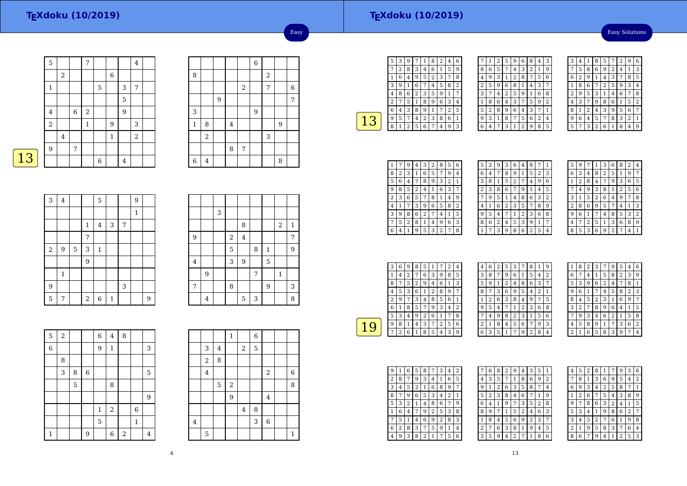#### Easy Solutions

|   | $\overline{5}$ |         |         | 7           |        |              |   | 4              |  |
|---|----------------|---------|---------|-------------|--------|--------------|---|----------------|--|
|   |                | 2       |         |             |        | 6            |   |                |  |
|   | 1              |         |         |             | 5      |              | 3 | 7              |  |
|   |                |         |         |             |        |              | 5 |                |  |
|   | $\,4\,$        |         | $\,6\,$ | $\,2$       |        |              | 9 |                |  |
|   | $\,2$          |         |         | $\mathbf 1$ |        | $9\,$        |   | 3              |  |
|   |                | $\,4\,$ |         |             |        | $\mathbf{1}$ |   | $\overline{2}$ |  |
|   | 9              |         | 7       |             |        |              |   |                |  |
| 3 |                |         |         |             | $\,$ 6 |              | 4 |                |  |

|             |       |   |                |            | $\,$ 6 $\,$ |                         |   |       |
|-------------|-------|---|----------------|------------|-------------|-------------------------|---|-------|
| 8           |       |   |                |            |             | $\overline{\mathbf{c}}$ |   |       |
|             |       |   |                | $\,2$      |             | 7                       |   | $\,6$ |
|             |       | 9 |                |            |             |                         |   | 7     |
| 3           |       |   |                |            | 9           |                         |   |       |
| $\mathbf 1$ | 8     |   | $\overline{4}$ |            |             |                         | 9 |       |
|             | $\,2$ |   |                |            |             | 3                       |   |       |
|             |       |   | 8              | $\sqrt{ }$ |             |                         |   |       |
| $\,$ 6 $\,$ | 4     |   |                |            |             |                         | 8 |       |

Easy

| 3     | $\overline{4}$   |                |                | 5       |              |   | 9            |   |
|-------|------------------|----------------|----------------|---------|--------------|---|--------------|---|
|       |                  |                |                |         |              |   | $\mathbf{1}$ |   |
|       |                  |                | $\,1\,$        | $\bf 4$ | 3            | 7 |              |   |
|       |                  |                | 7              |         |              |   |              |   |
| $\,2$ | $\boldsymbol{9}$ | $\overline{5}$ | 3              | $\,1\,$ |              |   |              |   |
|       |                  |                | $\overline{9}$ |         |              |   |              |   |
|       | $\mathbf{1}$     |                |                |         |              |   |              |   |
| 9     |                  |                |                |         |              | 3 |              |   |
| 5     | 7                |                | $\sqrt{2}$     | 6       | $\mathbf{1}$ |   |              | 9 |

|                |   | 3 |            |         |   |   |                  |   |
|----------------|---|---|------------|---------|---|---|------------------|---|
|                |   |   |            | 8       |   |   | $\boldsymbol{2}$ | 1 |
| 9              |   |   | $\sqrt{2}$ | $\bf 4$ |   |   |                  | 7 |
|                |   |   | 5          |         | 8 | 1 |                  | 9 |
| $\overline{4}$ |   |   | 3          | 9       |   | 5 |                  |   |
|                | 9 |   |            |         | 7 |   | $\mathbf{1}$     |   |
| 7              |   |   | 8          |         |   | 9 |                  | 3 |
|                | 4 |   |            | 5       | 3 |   |                  | 8 |

| $\overline{5}$ | $\overline{2}$ |   |             | $\overline{6}$ | $\overline{4}$ | 8                       |                  |   |
|----------------|----------------|---|-------------|----------------|----------------|-------------------------|------------------|---|
| $\overline{6}$ |                |   |             | 9              | $\mathbf{1}$   |                         |                  | 3 |
|                | 8              |   |             |                |                |                         |                  |   |
|                | 3              | 8 | $\,$ 6 $\,$ |                |                |                         |                  | 5 |
|                |                | 5 |             |                | 8              |                         |                  |   |
|                |                |   |             |                |                |                         |                  | 9 |
|                |                |   |             | $\mathbf 1$    | $\sqrt{2}$     |                         | $\boldsymbol{6}$ |   |
|                |                |   |             | 5              |                |                         | $\mathbf{1}$     |   |
| $\mathbf{1}$   |                |   | 9           |                | 6              | $\overline{\mathbf{c}}$ |                  | 4 |

|                |             |                         | $\mathbf{1}$ |   | 6 |                         |                  |
|----------------|-------------|-------------------------|--------------|---|---|-------------------------|------------------|
|                | 3           | $\overline{\mathbf{4}}$ |              | 2 | 5 |                         |                  |
|                | $\sqrt{2}$  | 8                       |              |   |   |                         |                  |
|                | $\bf{4}$    |                         |              |   |   | $\sqrt{2}$              | $\boldsymbol{6}$ |
|                |             | $\mathbf 5$             | $\sqrt{2}$   |   |   |                         | 8                |
|                |             |                         | 9            |   |   | $\overline{\mathbf{4}}$ |                  |
|                |             |                         |              | 4 | 8 |                         |                  |
| $\overline{4}$ |             |                         |              |   | 3 | $\overline{6}$          |                  |
|                | $\mathbf 5$ |                         |              |   |   |                         | $\mathbf{1}$     |

| 5 | 3 | 9 | 7 |   | 8 | 2 | 4 | 6 |
|---|---|---|---|---|---|---|---|---|
|   | 2 | 8 | 3 | 4 | 6 | 1 | 5 | 9 |
|   | 6 | 4 | 9 | 5 | 2 | 3 | 7 | 8 |
| 3 | g | 1 | 6 | 7 | 4 | 5 | 8 | 2 |
| 4 | 8 | 6 | 2 | З | 5 | 9 | 1 | 7 |
| 2 |   | 5 | 1 | 8 | 9 | 6 | 3 | 4 |
| 6 | 4 | 3 | 8 | 9 |   |   | 2 | 5 |
| 9 | 5 | 7 | 4 | 2 | 3 | 8 | 6 | 1 |
| 8 | 1 | 2 | 5 | 6 | 7 | 4 | 9 | 3 |
|   |   |   |   |   |   |   |   |   |

|   | 1 | 2 | 5 | 9 | 6 | 8              | 4 | 3 |  |
|---|---|---|---|---|---|----------------|---|---|--|
| 8 | 6 | 5 | 7 | 4 | 3 | $\overline{2}$ | 1 | 9 |  |
| 4 | 9 | 3 | 1 | 2 | 8 | 7              | 5 | 6 |  |
| 2 | 5 | 9 | 6 | 8 | 1 | 4              | 3 | 7 |  |
| 3 | 7 | 4 | 2 | 5 | 9 | 1              | 6 | 8 |  |
| 1 | 8 | 6 | 4 | 3 | 7 | 5              | 9 | 2 |  |
| 5 | 2 | 8 | 9 | 6 | 4 | 3              | 7 | 1 |  |
| 9 | 3 | 1 | 8 | 7 | 5 | 6              | 2 | 4 |  |
| 6 | 4 | 7 | 3 | 1 | 2 | 9              | 8 | 5 |  |

| 3 | 4 | 1 | 8 | 5 |   | $\overline{2}$ | 9              | 6 |
|---|---|---|---|---|---|----------------|----------------|---|
| 7 | 5 | 8 | 6 | 9 | 2 | 4              | 1              | 3 |
| 6 | 2 | 9 | 1 | 4 | 3 | 7              | 8              | 5 |
| 1 | 8 | 6 | 7 | 2 | 5 | 9              | 3              | 4 |
| 2 | 9 | 5 | 3 | 1 | 4 | 6              | 7              | 8 |
| 4 | 3 | 7 | 9 | 8 | 6 | 1              | 5              | 2 |
| 8 | 1 | 2 | 4 | 3 | 9 | 5              | 6              | 7 |
| 9 | 6 | 4 | 5 | 7 | 8 | 3              | $\overline{2}$ | 1 |
| 5 |   | 3 | 2 | 6 | 1 | 8              | 4              | 9 |

|   |   | 9 | 4 | З | 2 | 8 | 5 | 6 |
|---|---|---|---|---|---|---|---|---|
| 8 | 2 | З | 1 | 6 | 5 |   | 9 | 4 |
| 5 | 6 | 4 | 7 | 8 | 9 | 3 | 2 | 1 |
| g | 8 | 5 | 2 | 4 | 1 | 6 | 3 |   |
| 2 | 3 | 6 | 5 | 7 | 8 | 1 | 4 | 9 |
| 4 | 1 |   | 3 | 9 | 6 | 5 | 8 | 2 |
| 3 | 9 | 8 | 6 | 2 | 7 | 4 | 1 | 5 |
|   | 5 | 2 | 8 | 1 | 4 | 9 | 6 | 3 |
| 6 | 4 |   | 9 | 5 | 3 | 2 | 7 | 8 |

| 5              | 2 | 9 | З | 6              | 4 | 8              | 7 | 1              |
|----------------|---|---|---|----------------|---|----------------|---|----------------|
| 6              | 4 | 7 | 8 | 9              | 1 | 5              | 2 | 3              |
| 3              | 8 | 1 | 5 | $\overline{2}$ | 7 | 4              | 9 | 6              |
| $\overline{c}$ | 3 | 8 | 6 | 7              | 9 | 1              | 4 | 5              |
| 7              | 9 | 5 | 1 | 4              | 8 | 6              | 3 | $\overline{a}$ |
| 4              | 1 | 6 | 2 | 3              | 5 | 7              | 8 | g              |
| 9              | 5 | 4 | 7 | 1              | 2 | 3              | 6 | 8              |
| 8              | 6 | 2 | 4 | 5              | 3 | 9              | 1 | 7              |
| 1              | 7 | 3 | 9 | 8              | 6 | $\overline{2}$ | 5 | 4              |
|                |   |   |   |                |   |                |   |                |

| 5 | 9 |   | ı | 3 | 6              | 8 | $\overline{2}$ | 4 |
|---|---|---|---|---|----------------|---|----------------|---|
| 6 | 3 | 4 | 8 | 2 | 5              | 1 | 9              | 7 |
| 1 | 2 | 8 | 4 | 7 | 9              | 3 | 6              | 5 |
|   | 4 | 9 | 3 | 8 | 1              | 2 | 5              | 6 |
| 3 | 1 | 5 | 2 | 6 | 4              | 9 | 7              | 8 |
| 2 | 8 | 6 | 9 | 5 | 7              | 4 | 1              | 3 |
| 9 | 6 | 1 |   | 4 | 8              | 5 | 3              | 2 |
| 4 |   | 2 | 5 | 1 | 3              | 6 | 8              | 9 |
| 8 | 5 | З | 6 | 9 | $\overline{2}$ |   | 4              | 1 |

| 3 | 6 | 9 | 8 | 5 |   |   | 2 |   |  |
|---|---|---|---|---|---|---|---|---|--|
|   | 4 | 2 |   | 6 | 3 | 9 | 8 | 5 |  |
| 8 |   | 5 | 2 | 9 | 4 | 6 |   | 3 |  |
| 4 | 5 | 3 | 6 | 1 | 2 | 8 | 9 |   |  |
| 2 | 9 | 7 | 3 | 4 | 8 | 5 | 6 |   |  |
| 6 |   | 8 | 5 | 7 | 9 | 3 | 4 | 2 |  |
| 5 | 3 | 4 | g | 2 | 6 |   |   | 8 |  |
| 9 | 8 | 1 | 4 | 3 | 7 | 2 | 5 | 6 |  |
|   | 2 | 6 | 1 | 8 | 5 |   | 3 | 9 |  |
|   |   |   |   |   |   |   |   |   |  |

| 4 | 6 | 2 | 5 | 3 | 7 | 8              | 1 | 9 |  |
|---|---|---|---|---|---|----------------|---|---|--|
| 3 | 8 | 7 | 9 | 6 | 1 | 5              | 4 | 2 |  |
| 5 | 9 | 1 | 2 | 4 | 8 | 6              | 3 | 7 |  |
| 8 | 7 | 3 | 6 | 9 | 5 | 4              | 2 | 1 |  |
| 1 | 2 | 6 | 3 | 8 | 4 | 9              | 7 | 5 |  |
| 9 | 5 | 4 | 7 | 1 | 2 | 3              | 6 | 8 |  |
|   | 4 | 9 | 8 | 2 | 3 | 1              | 5 | 6 |  |
| 2 | 1 | 8 | 4 | 5 | 6 | 7              | 9 | 3 |  |
| 6 | 3 | 5 | 1 | 7 | 9 | $\overline{2}$ | 8 | 4 |  |

| 1              | 8     | 2 | 3 |              | 9 | 5              | 4              | 6 |
|----------------|-------|---|---|--------------|---|----------------|----------------|---|
| 6              | 7     | 4 | 1 | 5            | 8 | $\overline{2}$ | 3              | 9 |
| 5              | 3     | 9 | 6 | 2            | 4 | 7              | 8              | 1 |
| 9              | $\,6$ | 1 | 7 | 4            | 5 | 8              | $\overline{2}$ | 3 |
| 8              | 4     | 5 | 2 | 3            | 1 | 6              | 9              | 7 |
| 3              | 2     | 7 | 8 | 9            | 6 | 4              | 1              | 5 |
| 7              | 9     | 3 | 4 | 6            | 2 | 1              | 5              | 8 |
| 4              | 5     | 8 | 9 | $\mathbf{1}$ | 7 | 3              | 6              | 2 |
| $\overline{2}$ | 1     | 6 | 5 | 8            | 3 | 9              | 7              | 4 |

| 9 | 1 | 6 | 5 | 8 |   | З | 4 | $\overline{2}$ |  |
|---|---|---|---|---|---|---|---|----------------|--|
| 2 | 8 | 7 | 9 | 3 | 4 | 1 | 6 | 5              |  |
| 3 | 4 | 5 | 2 | 1 | 6 | 8 | 9 | 7              |  |
| 8 | 7 | 9 | 6 | 5 | 3 | 4 | 2 | 1              |  |
| 5 | 3 | 2 | 1 | 4 | 8 | 6 | 7 | 9              |  |
| 1 | 6 | 4 | 7 | 9 | 2 | 5 | 3 | 8              |  |
| 7 | 5 | 1 | 4 | 6 | 9 | 2 | 8 | 3              |  |
| 6 | 2 | 8 | 3 | 7 | 5 | 9 | 1 | 4              |  |
| 4 | 9 | 3 | 8 | 2 | 1 |   | 5 | 6              |  |

|   | 6 | 8 | 2 | 9 | 4 | 3 | 5 | 1 |
|---|---|---|---|---|---|---|---|---|
| 4 | 3 | 5 |   | 1 | 8 | 6 | 9 | 2 |
| g | 1 | 2 | 6 | 3 | 5 | 8 | 7 | 4 |
| 5 | 2 | 3 | 8 | 4 | 6 | 7 | 1 | 9 |
| 6 | 4 | 1 | 9 | 7 | 3 | 5 | 2 | 8 |
| 8 | 9 | 7 | 1 | 5 | 2 | 4 | 6 | 3 |
| 1 | 8 | 4 | 5 | 6 | 9 | 2 | 3 | 7 |
| 2 | 7 | 6 | 3 | 8 | 1 | 9 | 4 | 5 |
| З | 5 | 9 | 4 | 2 | 7 |   | 8 | 6 |

| 8<br>3<br>2<br>6<br>9<br>5<br>1<br>4<br>8<br>3<br>6<br>2<br>9<br>5<br>1<br>4<br>3<br>9<br>8<br>6<br>5<br>2<br>7<br>1<br>4<br>6<br>3<br>8<br>2<br>5<br>9<br>7<br>1<br>4<br>8<br>3<br>2<br>6<br>5<br>1<br>9<br>7<br>4<br>$\overline{2}$<br>3<br>9<br>8<br>6<br>1<br>5<br>7<br>4<br>9<br>8<br>6<br>3<br>$\overline{2}$<br>5<br>7<br>1<br>4<br>3<br>6<br>2<br>9<br>8<br>5<br>1<br>7<br>4 |  |  |  |  |  |
|--------------------------------------------------------------------------------------------------------------------------------------------------------------------------------------------------------------------------------------------------------------------------------------------------------------------------------------------------------------------------------------|--|--|--|--|--|
|                                                                                                                                                                                                                                                                                                                                                                                      |  |  |  |  |  |
|                                                                                                                                                                                                                                                                                                                                                                                      |  |  |  |  |  |
|                                                                                                                                                                                                                                                                                                                                                                                      |  |  |  |  |  |
|                                                                                                                                                                                                                                                                                                                                                                                      |  |  |  |  |  |
|                                                                                                                                                                                                                                                                                                                                                                                      |  |  |  |  |  |
|                                                                                                                                                                                                                                                                                                                                                                                      |  |  |  |  |  |
|                                                                                                                                                                                                                                                                                                                                                                                      |  |  |  |  |  |
|                                                                                                                                                                                                                                                                                                                                                                                      |  |  |  |  |  |
| 9<br>$\overline{2}$<br>3<br>6<br>5<br>8<br>$\mathbf{1}$<br>4<br>7                                                                                                                                                                                                                                                                                                                    |  |  |  |  |  |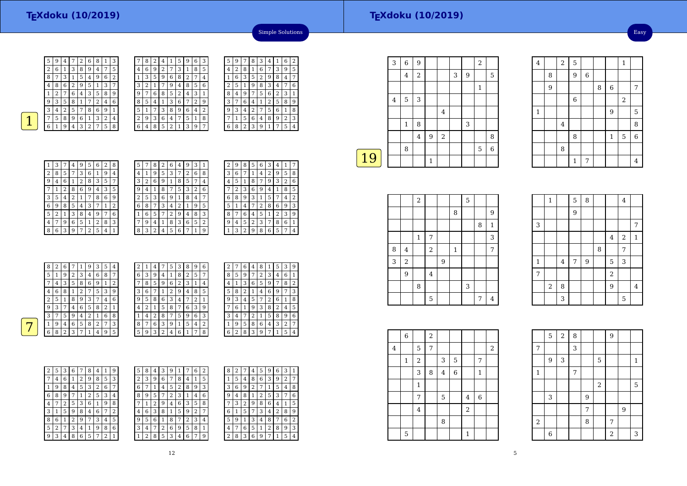|   | 8 | 2 | 4 |   | 5 | 9 | 6              | 3 |
|---|---|---|---|---|---|---|----------------|---|
| 4 | 6 | 9 | 2 | 7 | 3 | 1 | 8              | 5 |
|   | 3 | 5 | 9 | 6 | 8 | 2 | 7              | 4 |
| 3 | 2 | 1 |   | 9 | 4 | 8 | 5              | 6 |
| 9 | 7 | 6 | 8 | 5 | 2 | 4 | 3              | 1 |
| 8 | 5 | 4 | 1 | 3 | 6 | 7 | $\overline{2}$ | 9 |
| 5 |   | 7 | 3 | 8 | 9 | 6 | 4              | 2 |
| 2 | 9 | 3 | 6 | 4 | 7 | 5 | 1              | 8 |
| 6 | 4 | 8 | 5 | 2 |   | 3 | 9              |   |



| 7 | 8 | 2 | 4 |   | ь | 9      | 6 | З | 5 | 9 |   | 8 | З | 4 |   | 6 | 2 |
|---|---|---|---|---|---|--------|---|---|---|---|---|---|---|---|---|---|---|
| 4 | 6 | 9 | 2 | 7 | 3 | 1      | 8 | 5 | 4 | 2 | 8 |   | 6 | 7 | 3 | 9 | 5 |
| 1 | 3 | 5 | 9 | 6 | 8 | ר<br>∠ |   | 4 |   | 6 | 3 | 5 | 2 | 9 | 8 | 4 | 7 |
| 3 | 2 |   |   | 9 | 4 | 8      | 5 | 6 | 2 | 5 |   | 9 | 8 | 3 | 4 | 7 | 6 |
| 9 | 7 | 6 | 8 | 5 | 2 | 4      | З | 1 | 8 | 4 | 9 |   | 5 | 6 | 2 | 3 | 1 |
| 8 | 5 | 4 |   | 3 | 6 |        | 2 | 9 | 3 |   | 6 | 4 | 1 | 2 | 5 | 8 | 9 |
| 5 |   |   | З | 8 | 9 | 6      | 4 | 2 | 9 | 3 | 4 | ∠ |   | 5 | 6 | 1 | 8 |
| 2 | 9 | 3 | 6 | 4 | 7 | 5      | 1 | 8 | 7 |   | 5 | 6 | 4 | 8 | 9 | 2 | 3 |
| 6 | 4 | 8 | 5 | 2 |   | 3      | 9 | 7 | 6 | 8 | ∍ | 3 | 9 |   | 7 | 5 | 4 |
|   |   |   |   |   |   |        |   |   |   |   |   |   |   |   |   |   |   |

| 1 | 3 | 7              | 4              | 9 | 5 | 6              | 2 | 8 |
|---|---|----------------|----------------|---|---|----------------|---|---|
| 2 | 8 | 5              | 7              | 3 | 6 | 1              | 9 | 4 |
| 9 | 4 | 6              | 1              | 2 | 8 | 3              | 5 | 7 |
| 7 | 1 | $\overline{2}$ | 8              | 6 | 9 | 4              | 3 | 5 |
| 3 | 5 | 4              | $\overline{2}$ | 1 | 7 | 8              | 6 | 9 |
| 6 | 9 | 8              | 5              | 4 | 3 | 7              | 1 | 2 |
| 5 | 2 | 1              | 3              | 8 | 4 | 9              | 7 | 6 |
| 4 | 7 | 9              | 6              | 5 | 1 | $\overline{2}$ | 8 | 3 |
| 8 | 6 | 3              | 9              | 7 | 2 | 5              | 4 | 1 |

| 5 | 7 | 8 | 2 | 6 | 4 | 9 | З              | 1 |  |
|---|---|---|---|---|---|---|----------------|---|--|
| 4 | 1 | 9 | 5 | 3 | 7 | 2 | 6              | 8 |  |
| 3 | 2 | 6 | 9 | 1 | 8 | 5 | 7              | 4 |  |
| 9 | 4 |   | 8 | 7 | 5 | 3 | $\overline{2}$ | 6 |  |
| 2 | 5 | 3 | 6 | 9 | 1 | 8 | 4              |   |  |
| 6 | 8 |   | 3 | 4 | 2 | 1 | 9              | 5 |  |
|   | 6 | 5 | 7 | 2 | 9 | 4 | 8              | 3 |  |
| 7 | 9 | 4 | 1 | 8 | 3 | 6 | 5              | 2 |  |
| 8 | 3 | 2 | 4 | 5 | 6 |   | 1              | 9 |  |

|   |   |   |   |   |   | 4                          |   |                |
|---|---|---|---|---|---|----------------------------|---|----------------|
| З | 6 | 7 | 1 | 4 | 2 | 9                          | 5 | 8              |
| 4 | 5 | 1 | 8 | 7 | 9 | 3                          | 2 | 6              |
|   | 2 | 3 | 6 | 9 | 4 | 1                          | 8 | 5              |
| 6 | 8 | 9 | 3 | 1 | 5 |                            | 4 | $\overline{2}$ |
| 5 | 1 | 4 |   | 2 | 8 | 6                          | 9 | 3              |
| 8 |   | 6 | 4 | 5 | 1 | 2                          | 3 | 9              |
| 9 | 4 | 5 | 2 | 3 | 7 | 8                          | 6 | 1              |
|   | 3 | 2 | 9 | 8 | 6 | 5                          | 7 | 4              |
|   |   |   |   |   |   | 9<br>6<br>З<br>8<br>2<br>5 |   | 1              |

Simple Solutions

| 8 | 2 | 6 | 7 |   | 9 | 3 | 5      | 4 | 2 |   | 4 | 7 | 5              | 3 | 8 | 9 | 6 |
|---|---|---|---|---|---|---|--------|---|---|---|---|---|----------------|---|---|---|---|
| 5 |   | 9 | 2 | 3 | 4 | 6 | 8      | 7 | 6 | 3 | 9 | 4 | 1              | 8 | 2 | 5 | 7 |
|   | 4 | 3 | 5 | 8 | 6 | 9 |        | 2 | 7 | 8 | 5 | 9 | 6              | 2 | 3 |   | 4 |
|   | 6 | 8 |   |   | 7 | 5 | 3      | 9 | 3 | 6 | 7 |   | 2              | 9 | 4 | 8 | 5 |
| ∍ | 5 |   | 8 | 9 | 3 | 7 | 4      | 6 | 9 | 5 | 8 | 6 | 3              | 4 |   | 2 |   |
| 9 | 3 | 7 | 4 | 6 | 5 | 8 | C<br>∠ |   | 4 |   |   | 5 | 8              | 7 | 6 | 3 | 9 |
|   | 7 | 5 | 9 | 4 |   |   | 6      | 8 |   | 4 | 2 | 8 | 7              | 5 | 9 | 6 | 3 |
|   | 9 | 4 | 6 | 5 | 8 | 2 | 7      | 3 | 8 | ⇁ | 6 | 3 | 9              |   | 5 | 4 | 2 |
| 6 | 8 | າ | 3 | ¬ |   | 4 | 9      | 5 | 5 | 9 | 3 | 2 | $\overline{4}$ | 6 |   | 7 | 8 |
|   |   |   |   |   |   |   |        |   |   |   |   |   |                |   |   |   |   |

| 2 | 7 | 6 | 4 | 8              |   | 5 | 3 | 9 |
|---|---|---|---|----------------|---|---|---|---|
| 8 | 5 | 9 | 7 | $\overline{2}$ | 3 | 4 | 6 | 1 |
| 4 | 1 | 3 | 6 | 5              | 9 | 7 | 8 | 2 |
| 5 | 8 | 2 | 1 | 4              | 6 | 9 | 7 | 3 |
| 9 | 3 | 4 | 5 | 7              | 2 | 6 | 1 | 8 |
|   | 6 | 1 | 9 | 3              | 8 | 2 | 4 | 5 |
| 3 | 4 |   | 2 | 1              | 5 | 8 | 9 | 6 |
| 1 | 9 | 5 | 8 | 6              | 4 | 3 | 2 | 7 |
| 6 | 2 | 8 | 3 | 9              | 7 | 1 | 5 | 4 |

| 2 | 5 | 3 | 6 | 7 | 8 | 4 | 1 | 9 | 5            | 8 | 4 |
|---|---|---|---|---|---|---|---|---|--------------|---|---|
| 7 | 4 | 6 | 1 | 2 | 9 | 8 | 5 | 3 | 2            | 3 | 9 |
| 1 | 9 | 8 | 4 | 5 | 3 | 2 | 6 | 7 | 6            | 7 | 1 |
| 6 | 8 | 9 | 7 | 1 | 2 | 5 | 3 | 4 | 8            | 9 | 5 |
| 4 | 7 | 2 | 5 | 3 | 6 | 1 | 9 | 8 | 7            | 1 | 2 |
| 3 | 1 | 5 | 9 | 8 | 4 | 6 | 7 | 2 | 4            | 6 | 3 |
| 8 | 6 | 1 | 2 | 9 | 7 | 3 | 4 | 5 | 9            | 5 | 6 |
| 5 | 2 | 7 | 3 | 4 | 1 | 9 | 8 | 6 | 3            | 4 | 7 |
| 9 | 3 | 4 | 8 | 6 | 5 | 7 | 2 | 1 | $\mathbf{1}$ | 2 | 8 |

7

| 5 | 8 | 4 | 3 | 9 |   |   | 6 | 2 | 8              | 2 |   | 4      | 5 | 9 | 6 | 3 | 1 |
|---|---|---|---|---|---|---|---|---|----------------|---|---|--------|---|---|---|---|---|
| 2 | 3 | 9 | 6 | 7 | 8 | 4 | 1 | 5 | 1              | 5 | 4 | 8      | 6 | 3 | 9 | 2 | 7 |
| 6 | 7 | 1 | 4 | 5 | 2 | 8 | 9 | 3 | 3              | 6 | 9 | ∍<br>∠ | 7 | 1 | 5 | 4 | 8 |
| 8 | 9 | 5 | 7 | 2 | 3 |   | 4 | 6 | 9              | 4 | 8 | 1      | 2 | 5 | 3 | 7 | 6 |
| 7 | 1 | 2 | 9 | 4 | 6 | 3 | 5 | 8 | 7              | 3 | 2 | 9      | 8 | 6 | 4 | 1 | 5 |
| 4 | 6 | 3 | 8 | 1 | 5 | 9 | 2 | 7 | 6              | 1 | 5 | 7      | 3 | 4 | 2 | 8 | 9 |
| 9 | 5 | 6 |   | 8 |   |   | 3 | 4 | 5              | 9 | 1 | 3      | 4 | 8 | 7 | 6 | 2 |
| 3 | 4 | 7 | 2 | 6 | 9 | 5 | 8 | 1 | 4              | 7 | 6 | 5      | 1 | 2 | 8 | 9 | 3 |
| 1 | 2 | 8 | 5 | 3 | 4 | 6 | 7 | 9 | $\overline{2}$ | 8 | 3 | 6      | 9 | 7 | 1 | 5 | 4 |
|   |   |   |   |   |   |   |   |   |                |   |   |        |   |   |   |   |   |

|    | 3       | 6              | 9              |              |   |   |   | $\overline{2}$ |   |
|----|---------|----------------|----------------|--------------|---|---|---|----------------|---|
|    |         | $\overline{4}$ | $\overline{2}$ |              |   | 3 | 9 |                | 5 |
|    |         |                |                |              |   |   |   | $\mathbf{1}$   |   |
|    | $\,4\,$ | 5              | 3              |              |   |   |   |                |   |
|    |         |                |                |              | 4 |   |   |                |   |
|    |         | 1              | 8              |              |   |   | 3 |                |   |
|    |         |                | $\overline{4}$ | 9            | 2 |   |   |                | 8 |
|    |         | 8              |                |              |   |   |   | 5              | 6 |
| 19 |         |                |                | $\mathbf{1}$ |   |   |   |                |   |
|    |         |                |                |              |   |   |   |                |   |

|   |                  | $\,2$        |         |   |              | 5 |   |              |
|---|------------------|--------------|---------|---|--------------|---|---|--------------|
|   |                  |              |         |   | 8            |   |   | 9            |
|   |                  |              |         |   |              |   | 8 | $\mathbf{1}$ |
|   |                  | $\mathbf{1}$ | 7       |   |              |   |   | 3            |
| 8 | $\bf 4$          |              | $\,2$   |   | $\mathbf{1}$ |   |   | 7            |
| 3 | $\boldsymbol{2}$ |              |         | 9 |              |   |   |              |
|   | 9                |              | $\bf 4$ |   |              |   |   |              |
|   |                  | 8            |         |   |              | 3 |   |              |
|   |                  |              | 5       |   |              |   | 7 | 4            |

|             | $\,1\,$ |                | 5              | 8 |   |                | $\bf 4$        |                |
|-------------|---------|----------------|----------------|---|---|----------------|----------------|----------------|
|             |         |                | 9              |   |   |                |                |                |
| 3           |         |                |                |   |   |                |                | $\overline{7}$ |
|             |         |                |                |   |   | $\bf 4$        | $\sqrt{2}$     | $\,1\,$        |
|             |         |                |                |   | 8 |                | $\overline{7}$ |                |
| $\mathbf 1$ |         | $\overline{4}$ | $\overline{7}$ | 9 |   | 5              | 3              |                |
| 7           |         |                |                |   |   | $\overline{a}$ |                |                |
|             | $\,2$   | 8              |                |   |   | 9              |                | $\bf 4$        |
|             |         | 3              |                |   |   |                | 5              |                |

2 5 1

8 6 7

1 9 5

 $\begin{array}{|c|c|c|c|c|}\n\hline\n6 & 2 \\
\hline\n\end{array}$ 

 $\frac{4}{1}$   $\frac{8}{1}$ 

7 4

 $1 \mid 5 \mid 6$ 

 $\begin{array}{|c|c|c|c|c|}\n\hline\n8 & 1\n\end{array}$ 

<sup>9</sup> <sup>6</sup>

6

8

1

4

8

4

1

8

9

|                | 6           |                  | $\overline{2}$ |                |             |                  |             |                |
|----------------|-------------|------------------|----------------|----------------|-------------|------------------|-------------|----------------|
| $\overline{4}$ |             | 5                | 7              |                |             |                  |             | $\overline{2}$ |
|                | $\mathbf 1$ | $\boldsymbol{2}$ |                | 3              | 5           |                  | 7           |                |
|                |             | 3                | 8              | $\overline{4}$ | $\,$ 6 $\,$ |                  | 1           |                |
|                |             | $\mathbf{1}$     |                |                |             |                  |             |                |
|                |             | 7                |                | $\mathbf 5$    |             | 4                | $\,$ 6 $\,$ |                |
|                |             | $\bf 4$          |                |                |             | $\boldsymbol{2}$ |             |                |
|                |             |                  |                | 8              |             |                  |             |                |
|                | 5           |                  |                |                |             | 1                |             |                |

|         | 5 | $\overline{2}$ | 8 |   |       | $\overline{9}$ |       |              |
|---------|---|----------------|---|---|-------|----------------|-------|--------------|
| 7       |   |                | 3 |   |       |                |       |              |
|         | 9 | 3              |   |   | 5     |                |       | $\mathbf{1}$ |
| $\,1\,$ |   |                | 7 |   |       |                |       |              |
|         |   |                |   |   | $\,2$ |                |       | 5            |
|         | 3 |                |   | 9 |       |                |       |              |
|         |   |                |   | 7 |       |                | $9\,$ |              |
| $\,2$   |   |                |   | 8 |       | 7              |       |              |
|         | 6 |                |   |   |       | $\,2$          |       | 3            |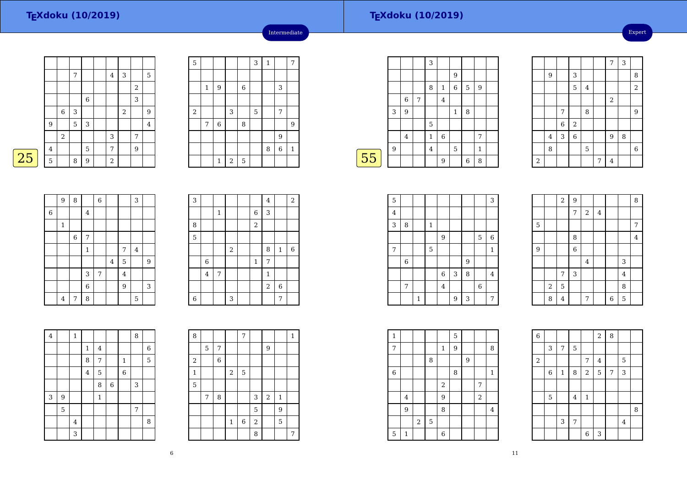Expert

|   |                |            | 7              |             | 4          | 3                |                         | 5       |
|---|----------------|------------|----------------|-------------|------------|------------------|-------------------------|---------|
|   |                |            |                |             |            |                  | $\overline{\mathbf{c}}$ |         |
|   |                |            |                | $\,$ 6 $\,$ |            |                  | 3                       |         |
|   |                | 6          | 3              |             |            | $\boldsymbol{2}$ |                         | 9       |
|   | $9\,$          |            | $\overline{5}$ | 3           |            |                  |                         | $\bf 4$ |
|   |                | $\sqrt{2}$ |                |             | 3          |                  | 7                       |         |
|   | $\overline{4}$ |            |                | $\mathbf 5$ | 7          |                  | 9                       |         |
| 5 | 5              |            | 8              | 9           | $\sqrt{2}$ |                  |                         |         |

| $\overline{5}$ |              |              |                |             | 3 | $\,1\,$ |                | 7       |
|----------------|--------------|--------------|----------------|-------------|---|---------|----------------|---------|
|                |              |              |                |             |   |         |                |         |
|                | $\mathbf{1}$ | 9            |                | 6           |   |         | 3              |         |
|                |              |              |                |             |   |         |                |         |
| $\overline{c}$ |              |              | 3              |             | 5 |         | 7              |         |
|                | 7            | $\,$ 6 $\,$  |                | 8           |   |         |                | 9       |
|                |              |              |                |             |   |         | 9              |         |
|                |              |              |                |             |   | 8       | $\overline{6}$ | $\,1\,$ |
|                |              | $\mathbf{1}$ | $\overline{a}$ | $\mathbf 5$ |   |         |                |         |

Intermediate

|    |   |                |   | 3              |                |             |   |              |  |
|----|---|----------------|---|----------------|----------------|-------------|---|--------------|--|
|    |   |                |   |                |                | 9           |   |              |  |
|    |   |                |   | 8              | $\mathbf{1}$   | $\,$ 6 $\,$ | 5 | 9            |  |
|    |   | 6              | 7 |                | $\overline{4}$ |             |   |              |  |
|    | 3 | 9              |   |                |                | 1           | 8 |              |  |
|    |   |                |   | 5              |                |             |   |              |  |
|    |   | $\overline{4}$ |   | 1              | 6              |             |   | 7            |  |
|    | 9 |                |   | $\overline{4}$ |                | 5           |   | $\mathbf{1}$ |  |
| 55 |   |                |   |                | 9              |             | 6 | 8            |  |
|    |   |                |   |                |                |             |   |              |  |

|                |   |                |                |         |   | 7              | 3 |                |
|----------------|---|----------------|----------------|---------|---|----------------|---|----------------|
|                | 9 |                | 3              |         |   |                |   | 8              |
|                |   |                | 5              | $\bf 4$ |   |                |   | $\overline{a}$ |
|                |   |                |                |         |   | $\sqrt{2}$     |   |                |
|                |   | 7              |                | 8       |   |                |   | 9              |
|                |   | $\overline{6}$ | $\sqrt{2}$     |         |   |                |   |                |
|                | 4 | 3              | $\overline{6}$ |         |   | $\overline{9}$ | 8 |                |
|                | 8 |                |                | 5       |   |                |   | $\overline{6}$ |
| $\overline{2}$ |   |                |                |         | 7 | $\overline{4}$ |   |                |



|             | 9              | 8           |                | $\overline{6}$ |                |                | 3       |   |
|-------------|----------------|-------------|----------------|----------------|----------------|----------------|---------|---|
| $\,$ 6 $\,$ |                |             | $\bf 4$        |                |                |                |         |   |
|             | $\mathbf{1}$   |             |                |                |                |                |         |   |
|             |                | $\,$ 6 $\,$ | $\overline{7}$ |                |                |                |         |   |
|             |                |             | $\mathbf{1}$   |                |                | 7              | $\bf 4$ |   |
|             |                |             |                |                | $\overline{4}$ | 5              |         | 9 |
|             |                |             | 3              | 7              |                | $\overline{4}$ |         |   |
|             |                |             | $\overline{6}$ |                |                | $\overline{9}$ |         | 3 |
|             | $\overline{4}$ | 7           | 8              |                |                |                | 5       |   |

| 3 |                |              |                  |                | $\bf 4$        |              | $\overline{2}$ |
|---|----------------|--------------|------------------|----------------|----------------|--------------|----------------|
|   |                | $\mathbf{1}$ |                  | $\,$ 6 $\,$    | 3              |              |                |
| 8 |                |              |                  | $\overline{2}$ |                |              |                |
| 5 |                |              |                  |                |                |              |                |
|   |                |              | $\boldsymbol{2}$ |                | 8              | $\mathbf{1}$ | 6              |
|   | $\,6$          |              |                  | $\mathbf{1}$   | 7              |              |                |
|   | $\overline{4}$ | 7            |                  |                | $\mathbf{1}$   |              |                |
|   |                |              |                  |                | $\overline{a}$ | 6            |                |
| 6 |                |              | 3                |                |                | 7            |                |

| $\overline{\mathbf{4}}$ |   | $\mathbf{1}$            |              |              |                |              | 8 |   |
|-------------------------|---|-------------------------|--------------|--------------|----------------|--------------|---|---|
|                         |   |                         |              |              |                |              |   |   |
|                         |   |                         | $\mathbf{1}$ | 4            |                |              |   | 6 |
|                         |   |                         | 8            | 7            |                | $\mathbf{1}$ |   | 5 |
|                         |   |                         | $\bf 4$      | 5            |                | $\,$ 6 $\,$  |   |   |
|                         |   |                         |              | 8            | $\overline{6}$ |              | 3 |   |
| 3                       | 9 |                         |              | $\mathbf{1}$ |                |              |   |   |
|                         | 5 |                         |              |              |                |              | 7 |   |
|                         |   | $\overline{\mathbf{4}}$ |              |              |                |              |   | 8 |
|                         |   | 3                       |              |              |                |              |   |   |

| 8       |   |   |                | 7     |       |            |              | $\mathbf{1}$ |
|---------|---|---|----------------|-------|-------|------------|--------------|--------------|
|         | 5 | 7 |                |       |       | 9          |              |              |
| $\,2$   |   | 6 |                |       |       |            |              |              |
| $\,1\,$ |   |   | $\overline{2}$ | 5     |       |            |              |              |
| 5       |   |   |                |       |       |            |              |              |
|         | 7 | 8 |                |       | 3     | $\sqrt{2}$ | $\mathbf{1}$ |              |
|         |   |   |                |       | 5     |            | 9            |              |
|         |   |   | $\,1\,$        | $\,6$ | $\,2$ |            | 5            |              |
|         |   |   |                |       | 8     |            |              | 7            |

| 5                       |       |              |   |             |   |   |         | 3              |  |
|-------------------------|-------|--------------|---|-------------|---|---|---------|----------------|--|
| $\overline{\mathbf{4}}$ |       |              |   |             |   |   |         |                |  |
| 3                       | 8     |              | 1 |             |   |   |         |                |  |
|                         |       |              |   | 9           |   |   | 5       | $\,$ 6 $\,$    |  |
| 7                       |       |              | 5 |             |   |   |         | $\mathbf{1}$   |  |
|                         | $\,6$ |              |   |             |   | 9 |         |                |  |
|                         |       |              |   | $\,$ 6 $\,$ | 3 | 8 |         | $\overline{4}$ |  |
|                         | 7     |              |   | $\bf 4$     |   |   | $\,6\,$ |                |  |
|                         |       | $\mathbf{1}$ |   |             | 9 | 3 |         | 7              |  |

|                  |                | $\overline{a}$ | $\overline{9}$ |                         |         |   |                | 8              |
|------------------|----------------|----------------|----------------|-------------------------|---------|---|----------------|----------------|
|                  |                |                | 7              | $\,2$                   | $\bf 4$ |   |                |                |
| 5                |                |                |                |                         |         |   |                | 7              |
|                  |                |                | 8              |                         |         |   |                | $\overline{4}$ |
| $\boldsymbol{9}$ |                |                | $\overline{6}$ |                         |         |   |                |                |
|                  |                |                |                | $\overline{\mathbf{4}}$ |         |   | 3              |                |
|                  |                | 7              | 3              |                         |         |   | $\overline{4}$ |                |
|                  | $\overline{2}$ | 5              |                |                         |         |   | 8              |                |
|                  | 8              | $\overline{4}$ |                | 7                       |         | 6 | 5              |                |

| $\mathbf{1}$ |                |                  |             |                  | 5 |   |       |              |  |
|--------------|----------------|------------------|-------------|------------------|---|---|-------|--------------|--|
| 7            |                |                  |             | $\mathbf{1}$     | 9 |   |       | 8            |  |
|              |                |                  | 8           |                  |   | 9 |       |              |  |
| $\,6$        |                |                  |             |                  | 8 |   |       | $\mathbf{1}$ |  |
|              |                |                  |             | $\sqrt{2}$       |   |   | 7     |              |  |
|              | $\overline{4}$ |                  |             | $\boldsymbol{9}$ |   |   | $\,2$ |              |  |
|              | 9              |                  |             | 8                |   |   |       | 4            |  |
|              |                | $\boldsymbol{2}$ | $\mathbf 5$ |                  |   |   |       |              |  |
| $\mathbf 5$  | 1              |                  |             | 6                |   |   |       |              |  |

| $\,$ 6 $\,$ |             |              |                |                | $\overline{c}$ | 8 |                |   |
|-------------|-------------|--------------|----------------|----------------|----------------|---|----------------|---|
|             | 3           | 7            | 5              |                |                |   |                |   |
| $\sqrt{2}$  |             |              |                | 7              | $\overline{4}$ |   | 5              |   |
|             | $\,6$       | $\mathbf{1}$ | 8              | $\sqrt{2}$     | 5              | 7 | 3              |   |
|             |             |              |                |                |                |   |                |   |
|             | $\mathbf 5$ |              | $\bf 4$        | $\mathbf{1}$   |                |   |                |   |
|             |             |              |                |                |                |   |                | 8 |
|             |             | $\mathsf 3$  | $\overline{7}$ |                |                |   | $\overline{4}$ |   |
|             |             |              |                | $\overline{6}$ | 3              |   |                |   |

6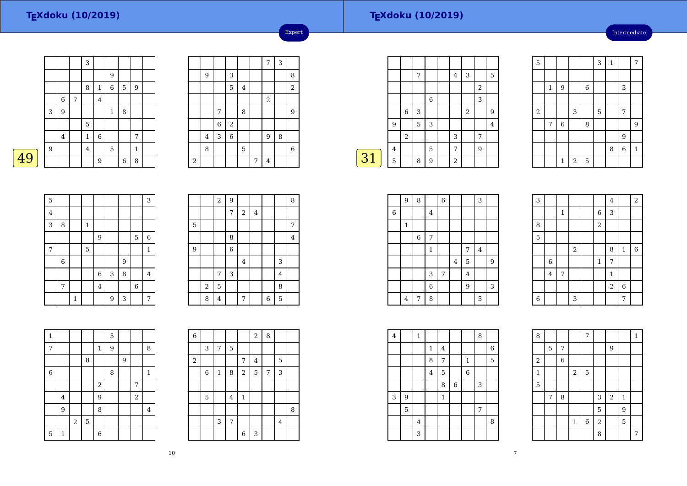### **TEXdoku (10/2019)**

Intermediate

|   |   |            | 3              |                |                |   |              |  |
|---|---|------------|----------------|----------------|----------------|---|--------------|--|
|   |   |            |                |                | 9              |   |              |  |
|   |   |            | 8              | $\mathbf{1}$   | $\overline{6}$ | 5 | 9            |  |
|   | 6 | $\sqrt{ }$ |                | $\overline{4}$ |                |   |              |  |
| 3 | 9 |            |                |                | $\mathbf{1}$   | 8 |              |  |
|   |   |            | $\mathbf 5$    |                |                |   |              |  |
|   | 4 |            | 1              | $\,$ 6 $\,$    |                |   | 7            |  |
| 9 |   |            | $\overline{4}$ |                | 5              |   | $\mathbf{1}$ |  |
|   |   |            |                | 9              |                | 6 | 8            |  |
|   |   |            |                |                |                |   |              |  |

|       |         |                  |                |                         |   | 7              | 3 |             |
|-------|---------|------------------|----------------|-------------------------|---|----------------|---|-------------|
|       | 9       |                  | 3              |                         |   |                |   | 8           |
|       |         |                  | 5              | $\overline{\mathbf{4}}$ |   |                |   | $\sqrt{2}$  |
|       |         |                  |                |                         |   | $\overline{a}$ |   |             |
|       |         | 7                |                | 8                       |   |                |   | 9           |
|       |         | $\boldsymbol{6}$ | $\,2$          |                         |   |                |   |             |
|       | $\bf 4$ | 3                | $\overline{6}$ |                         |   | 9              | 8 |             |
|       | 8       |                  |                | 5                       |   |                |   | $\,$ 6 $\,$ |
| $\,2$ |         |                  |                |                         | 7 | $\overline{4}$ |   |             |

Expert

|            |                |            | 7 |   | $\bf 4$    | 3              |                | 5 |
|------------|----------------|------------|---|---|------------|----------------|----------------|---|
|            |                |            |   |   |            |                | $\overline{2}$ |   |
|            |                |            |   | 6 |            |                | 3              |   |
|            |                | 6          | 3 |   |            | $\overline{2}$ |                | 9 |
|            | 9              |            | 5 | 3 |            |                |                | 4 |
|            |                | $\sqrt{2}$ |   |   | 3          |                | 7              |   |
|            | $\overline{4}$ |            |   | 5 | 7          |                | 9              |   |
| $\vert$ 31 | 5              |            | 8 | 9 | $\sqrt{2}$ |                |                |   |

| 5                |         |                  |                |             | 3 | $\mathbf 1$ |                | 7           |
|------------------|---------|------------------|----------------|-------------|---|-------------|----------------|-------------|
|                  |         |                  |                |             |   |             |                |             |
|                  | $\,1\,$ | 9                |                | $\,$ 6 $\,$ |   |             | 3              |             |
|                  |         |                  |                |             |   |             |                |             |
| $\boldsymbol{2}$ |         |                  | 3              |             | 5 |             | 7              |             |
|                  | 7       | $\boldsymbol{6}$ |                | 8           |   |             |                | 9           |
|                  |         |                  |                |             |   |             | 9              |             |
|                  |         |                  |                |             |   | 8           | $\overline{6}$ | $\mathbf 1$ |
|                  |         | $\mathbf 1$      | $\overline{2}$ | $\mathbf 5$ |   |             |                |             |

| 5       |   |   |             |                         |   |   |         | 3              |
|---------|---|---|-------------|-------------------------|---|---|---------|----------------|
| $\bf 4$ |   |   |             |                         |   |   |         |                |
| 3       | 8 |   | 1           |                         |   |   |         |                |
|         |   |   |             | 9                       |   |   | 5       | 6              |
| 7       |   |   | $\mathbf 5$ |                         |   |   |         | $\mathbf{1}$   |
|         | 6 |   |             |                         |   | 9 |         |                |
|         |   |   |             | 6                       | 3 | 8 |         | $\overline{4}$ |
|         | 7 |   |             | $\overline{\mathbf{4}}$ |   |   | $\,6\,$ |                |
|         |   | 1 |             |                         | 9 | 3 |         | 7              |

 $\boxed{49}$ 

|                |                  | $\,2$ | $\overline{9}$ |         |                |   |         | 8                       |
|----------------|------------------|-------|----------------|---------|----------------|---|---------|-------------------------|
|                |                  |       | 7              | 2       | $\overline{4}$ |   |         |                         |
| $\mathbf 5$    |                  |       |                |         |                |   |         | 7                       |
|                |                  |       | 8              |         |                |   |         | $\overline{\mathbf{4}}$ |
| $\overline{9}$ |                  |       | $\overline{6}$ |         |                |   |         |                         |
|                |                  |       |                | $\bf 4$ |                |   | 3       |                         |
|                |                  | 7     | 3              |         |                |   | $\bf 4$ |                         |
|                | $\boldsymbol{2}$ | 5     |                |         |                |   | 8       |                         |
|                | 8                | 4     |                | 7       |                | 6 | 5       |                         |

| 1           |                |       |             |                  | 5 |   |       |                |
|-------------|----------------|-------|-------------|------------------|---|---|-------|----------------|
| 7           |                |       |             | $\mathbf 1$      | 9 |   |       | 8              |
|             |                |       | 8           |                  |   | 9 |       |                |
| $\,6$       |                |       |             |                  | 8 |   |       | $\mathbf{1}$   |
|             |                |       |             | $\boldsymbol{2}$ |   |   | 7     |                |
|             | $\overline{4}$ |       |             | 9                |   |   | $\,2$ |                |
|             | 9              |       |             | 8                |   |   |       | $\overline{4}$ |
|             |                | $\,2$ | $\mathbf 5$ |                  |   |   |       |                |
| $\mathbf 5$ | $\mathbf{1}$   |       |             | 6                |   |   |       |                |

 $\begin{array}{|c|c|c|c|c|c|c|c|} \hline 1 & 9 & 3 & 7 \\ \hline \end{array}$ 

| 6     |   |             |             |                  | $2 \mid$                | 8              |                |   |
|-------|---|-------------|-------------|------------------|-------------------------|----------------|----------------|---|
|       | 3 | 7           | $\mathbf 5$ |                  |                         |                |                |   |
| $\,2$ |   |             |             | 7                | $\overline{\mathbf{4}}$ |                | 5              |   |
|       | 6 | $\mathbf 1$ | 8           | $\boldsymbol{2}$ | 5                       | $\overline{7}$ | 3              |   |
|       |   |             |             |                  |                         |                |                |   |
|       | 5 |             | 4           | $\mathbf{1}$     |                         |                |                |   |
|       |   |             |             |                  |                         |                |                | 8 |
|       |   | 3           | 7           |                  |                         |                | $\overline{4}$ |   |
|       |   |             |             | $\boldsymbol{6}$ | 3                       |                |                |   |

|             | 9 | 8           |                | $\,$ 6 $\,$ |         |                | 3 |             |  |
|-------------|---|-------------|----------------|-------------|---------|----------------|---|-------------|--|
| $\,$ 6 $\,$ |   |             | $\overline{4}$ |             |         |                |   |             |  |
|             | 1 |             |                |             |         |                |   |             |  |
|             |   | $\,$ 6 $\,$ | 7              |             |         |                |   |             |  |
|             |   |             | $\mathbf{1}$   |             |         | 7              | 4 |             |  |
|             |   |             |                |             | $\bf 4$ | $\overline{5}$ |   | 9           |  |
|             |   |             | 3              | 7           |         | $\overline{4}$ |   |             |  |
|             |   |             | $\overline{6}$ |             |         | 9              |   | $\,$ 3 $\,$ |  |
|             | 4 | 7           | 8              |             |         |                | 5 |             |  |

| 3           |             |             |            |             | $\bf 4$        |              | $\overline{2}$ |
|-------------|-------------|-------------|------------|-------------|----------------|--------------|----------------|
|             |             | $\mathbf 1$ |            | $\,$ 6 $\,$ | 3              |              |                |
| 8           |             |             |            | $\sqrt{2}$  |                |              |                |
| 5           |             |             |            |             |                |              |                |
|             |             |             | $\sqrt{2}$ |             | 8              | $\mathbf{1}$ | $\overline{6}$ |
|             | $\,$ 6 $\,$ |             |            | $\,1\,$     | 7              |              |                |
|             | $\bf 4$     | 7           |            |             | $\mathbf{1}$   |              |                |
|             |             |             |            |             | $\overline{2}$ | $\,$ 6 $\,$  |                |
| $\,$ 6 $\,$ |             |             | 3          |             |                | 7            |                |

| $\overline{4}$ |   | 1                       |                |                |   |              | 8 |             |
|----------------|---|-------------------------|----------------|----------------|---|--------------|---|-------------|
|                |   |                         | $\mathbf{1}$   | $\overline{4}$ |   |              |   | 6           |
|                |   |                         | 8              | 7              |   | $\mathbf{1}$ |   | $\mathbf 5$ |
|                |   |                         | $\overline{4}$ | 5              |   | $\,$ 6 $\,$  |   |             |
|                |   |                         |                | 8              | 6 |              | 3 |             |
| 3              | 9 |                         |                | 1              |   |              |   |             |
|                | 5 |                         |                |                |   |              | 7 |             |
|                |   | $\overline{\mathbf{4}}$ |                |                |   |              |   | 8           |
|                |   | 3                       |                |                |   |              |   |             |

| 8              |   |   |                | 7              |                  |            |              | $\mathbf{1}$ |
|----------------|---|---|----------------|----------------|------------------|------------|--------------|--------------|
|                | 5 | 7 |                |                |                  | 9          |              |              |
| $\overline{c}$ |   | 6 |                |                |                  |            |              |              |
| $\,1\,$        |   |   | $\overline{2}$ | 5              |                  |            |              |              |
| 5              |   |   |                |                |                  |            |              |              |
|                | 7 | 8 |                |                | 3                | $\sqrt{2}$ | $\mathbf{1}$ |              |
|                |   |   |                |                | 5                |            | 9            |              |
|                |   |   | $\mathbf{1}$   | $\overline{6}$ | $\boldsymbol{2}$ |            | 5            |              |
|                |   |   |                |                | 8                |            |              | 7            |

7